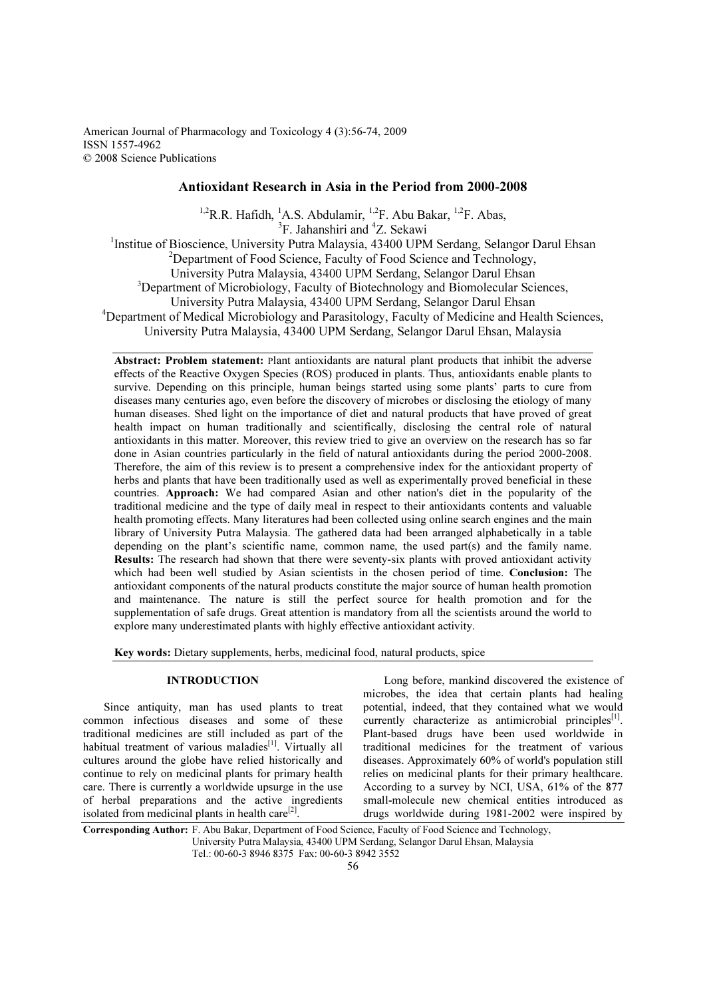American Journal of Pharmacology and Toxicology 4 (3):56-74, 2009 ISSN 1557-4962 © 2008 Science Publications

## Antioxidant Research in Asia in the Period from 2000-2008

<sup>1,2</sup>R.R. Hafidh, <sup>1</sup>A.S. Abdulamir, <sup>1,2</sup>F. Abu Bakar, <sup>1,2</sup>F. Abas,

<sup>3</sup>F. Jahanshiri and <sup>4</sup>Z. Sekawi

<sup>1</sup>Institue of Bioscience, University Putra Malaysia, 43400 UPM Serdang, Selangor Darul Ehsan  $2$ Department of Food Science, Faculty of Food Science and Technology, University Putra Malaysia, 43400 UPM Serdang, Selangor Darul Ehsan <sup>3</sup>Department of Microbiology, Faculty of Biotechnology and Biomolecular Sciences, University Putra Malaysia, 43400 UPM Serdang, Selangor Darul Ehsan <sup>4</sup>Department of Medical Microbiology and Parasitology, Faculty of Medicine and Health Sciences, University Putra Malaysia, 43400 UPM Serdang, Selangor Darul Ehsan, Malaysia

Abstract: Problem statement: Plant antioxidants are natural plant products that inhibit the adverse effects of the Reactive Oxygen Species (ROS) produced in plants. Thus, antioxidants enable plants to survive. Depending on this principle, human beings started using some plants' parts to cure from diseases many centuries ago, even before the discovery of microbes or disclosing the etiology of many human diseases. Shed light on the importance of diet and natural products that have proved of great health impact on human traditionally and scientifically, disclosing the central role of natural antioxidants in this matter. Moreover, this review tried to give an overview on the research has so far done in Asian countries particularly in the field of natural antioxidants during the period 2000-2008. Therefore, the aim of this review is to present a comprehensive index for the antioxidant property of herbs and plants that have been traditionally used as well as experimentally proved beneficial in these countries. Approach: We had compared Asian and other nation's diet in the popularity of the traditional medicine and the type of daily meal in respect to their antioxidants contents and valuable health promoting effects. Many literatures had been collected using online search engines and the main library of University Putra Malaysia. The gathered data had been arranged alphabetically in a table depending on the plant's scientific name, common name, the used part(s) and the family name. Results: The research had shown that there were seventy-six plants with proved antioxidant activity which had been well studied by Asian scientists in the chosen period of time. Conclusion: The antioxidant components of the natural products constitute the major source of human health promotion and maintenance. The nature is still the perfect source for health promotion and for the supplementation of safe drugs. Great attention is mandatory from all the scientists around the world to explore many underestimated plants with highly effective antioxidant activity.

Key words: Dietary supplements, herbs, medicinal food, natural products, spice

## INTRODUCTION

 Since antiquity, man has used plants to treat common infectious diseases and some of these traditional medicines are still included as part of the habitual treatment of various maladies<sup>[1]</sup>. Virtually all cultures around the globe have relied historically and continue to rely on medicinal plants for primary health care. There is currently a worldwide upsurge in the use of herbal preparations and the active ingredients isolated from medicinal plants in health care $[2]$ .

 Long before, mankind discovered the existence of microbes, the idea that certain plants had healing potential, indeed, that they contained what we would currently characterize as antimicrobial principles<sup>[1]</sup>. Plant-based drugs have been used worldwide in traditional medicines for the treatment of various diseases. Approximately 60% of world's population still relies on medicinal plants for their primary healthcare. According to a survey by NCI, USA, 61% of the 877 small-molecule new chemical entities introduced as drugs worldwide during 1981-2002 were inspired by

Corresponding Author: F. Abu Bakar, Department of Food Science, Faculty of Food Science and Technology, University Putra Malaysia, 43400 UPM Serdang, Selangor Darul Ehsan, Malaysia Tel.: 00-60-3 8946 8375 Fax: 00-60-3 8942 3552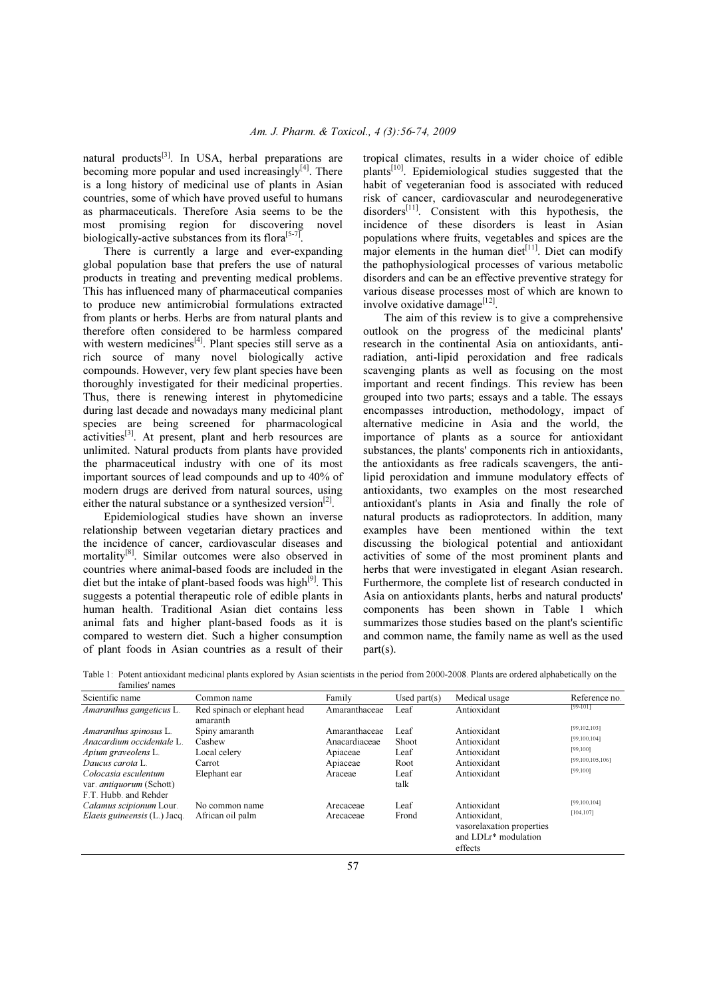natural products $^{[3]}$ . In USA, herbal preparations are becoming more popular and used increasingly $[4]$ . There is a long history of medicinal use of plants in Asian countries, some of which have proved useful to humans as pharmaceuticals. Therefore Asia seems to be the most promising region for discovering novel biologically-active substances from its flora<sup>[5-7]</sup>.

 There is currently a large and ever-expanding global population base that prefers the use of natural products in treating and preventing medical problems. This has influenced many of pharmaceutical companies to produce new antimicrobial formulations extracted from plants or herbs. Herbs are from natural plants and therefore often considered to be harmless compared with western medicines $^{[4]}$ . Plant species still serve as a rich source of many novel biologically active compounds. However, very few plant species have been thoroughly investigated for their medicinal properties. Thus, there is renewing interest in phytomedicine during last decade and nowadays many medicinal plant species are being screened for pharmacological activities<sup>[3]</sup>. At present, plant and herb resources are unlimited. Natural products from plants have provided the pharmaceutical industry with one of its most important sources of lead compounds and up to 40% of modern drugs are derived from natural sources, using either the natural substance or a synthesized version<sup>[2]</sup>.

 Epidemiological studies have shown an inverse relationship between vegetarian dietary practices and the incidence of cancer, cardiovascular diseases and mortality<sup>[8]</sup>. Similar outcomes were also observed in countries where animal-based foods are included in the diet but the intake of plant-based foods was high<sup>[9]</sup>. This suggests a potential therapeutic role of edible plants in human health. Traditional Asian diet contains less animal fats and higher plant-based foods as it is compared to western diet. Such a higher consumption of plant foods in Asian countries as a result of their

tropical climates, results in a wider choice of edible plants[10]. Epidemiological studies suggested that the habit of vegeteranian food is associated with reduced risk of cancer, cardiovascular and neurodegenerative disorders $^{[11]}$ . Consistent with this hypothesis, the incidence of these disorders is least in Asian populations where fruits, vegetables and spices are the major elements in the human diet $[11]$ . Diet can modify the pathophysiological processes of various metabolic disorders and can be an effective preventive strategy for various disease processes most of which are known to involve oxidative damage<sup>[12]</sup>.

 The aim of this review is to give a comprehensive outlook on the progress of the medicinal plants' research in the continental Asia on antioxidants, antiradiation, anti-lipid peroxidation and free radicals scavenging plants as well as focusing on the most important and recent findings. This review has been grouped into two parts; essays and a table. The essays encompasses introduction, methodology, impact of alternative medicine in Asia and the world, the importance of plants as a source for antioxidant substances, the plants' components rich in antioxidants, the antioxidants as free radicals scavengers, the antilipid peroxidation and immune modulatory effects of antioxidants, two examples on the most researched antioxidant's plants in Asia and finally the role of natural products as radioprotectors. In addition, many examples have been mentioned within the text discussing the biological potential and antioxidant activities of some of the most prominent plants and herbs that were investigated in elegant Asian research. Furthermore, the complete list of research conducted in Asia on antioxidants plants, herbs and natural products' components has been shown in Table 1 which summarizes those studies based on the plant's scientific and common name, the family name as well as the used part(s).

| Table 1: Potent antioxidant medicinal plants explored by Asian scientists in the period from 2000-2008. Plants are ordered alphabetically on the |  |  |  |
|--------------------------------------------------------------------------------------------------------------------------------------------------|--|--|--|
| fomiliac nomes                                                                                                                                   |  |  |  |

| ramines names                                           |                                          |                           |                 |                                                                                 |                             |
|---------------------------------------------------------|------------------------------------------|---------------------------|-----------------|---------------------------------------------------------------------------------|-----------------------------|
| Scientific name                                         | Common name                              | Family                    | Used part $(s)$ | Medical usage                                                                   | Reference no.               |
| <i>Amaranthus gangeticus</i> L.                         | Red spinach or elephant head<br>amaranth | Amaranthaceae             | Leaf            | Antioxidant                                                                     | $[99-101]$                  |
| <i>Amaranthus spinosus</i> L.                           | Spiny amaranth                           | Amaranthaceae             | Leaf            | Antioxidant                                                                     | [99, 102, 103]              |
| Anacardium occidentale L.                               | Cashew<br>Local celery                   | Anacardiaceae<br>Apiaceae | Shoot<br>Leaf   | Antioxidant<br>Antioxidant                                                      | [99, 100, 104]<br>[99, 100] |
| Apium graveolens L.                                     |                                          |                           |                 |                                                                                 |                             |
| Daucus carota L.                                        | Carrot                                   | Apiaceae                  | Root            | Antioxidant                                                                     | [99,100,105,106]            |
| Colocasia esculentum<br>var. <i>antiquorum</i> (Schott) | Elephant ear                             | Araceae                   | Leaf<br>talk    | Antioxidant                                                                     | [99, 100]                   |
| F.T. Hubb. and Rehder                                   |                                          |                           |                 |                                                                                 |                             |
| Calamus scipionum Lour.                                 | No common name                           | Arecaceae                 | Leaf            | Antioxidant                                                                     | [99, 100, 104]              |
| Elaeis guineensis (L.) Jacq.                            | African oil palm                         | Arecaceae                 | Frond           | Antioxidant,<br>vasorelaxation properties<br>and $LDLr^*$ modulation<br>effects | [104, 107]                  |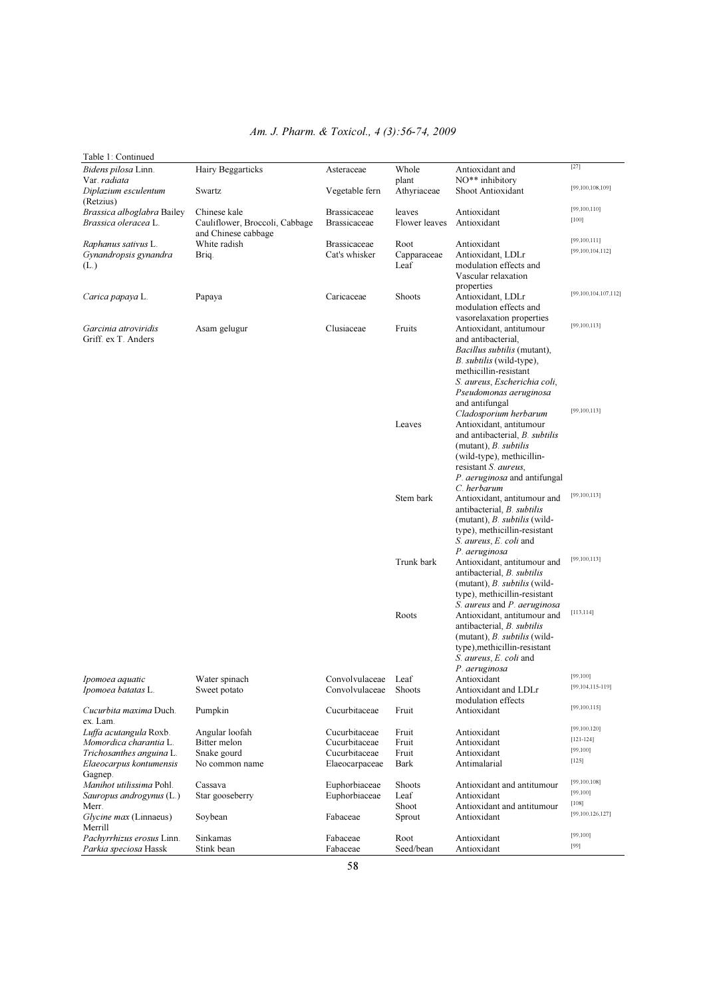| Table 1: Continued                                   |                                                                       |                                            |                         |                                                                                                                                                                                    |                                     |
|------------------------------------------------------|-----------------------------------------------------------------------|--------------------------------------------|-------------------------|------------------------------------------------------------------------------------------------------------------------------------------------------------------------------------|-------------------------------------|
| Bidens pilosa Linn.<br>Var. radiata                  | Hairy Beggarticks                                                     | Asteraceae                                 | Whole<br>plant          | Antioxidant and<br>NO** inhibitory                                                                                                                                                 | $[27]$                              |
| Diplazium esculentum<br>(Retzius)                    | Swartz                                                                | Vegetable fern                             | Athyriaceae             | Shoot Antioxidant                                                                                                                                                                  | [99,100,108,109]                    |
| Brassica alboglabra Bailey<br>Brassica oleracea L.   | Chinese kale<br>Cauliflower, Broccoli, Cabbage<br>and Chinese cabbage | <b>Brassicaceae</b><br><b>Brassicaceae</b> | leaves<br>Flower leaves | Antioxidant<br>Antioxidant                                                                                                                                                         | [99, 100, 110]<br>$[100]$           |
| Raphanus sativus L.<br>Gynandropsis gynandra         | White radish<br>Brig.                                                 | <b>Brassicaceae</b><br>Cat's whisker       | Root<br>Capparaceae     | Antioxidant<br>Antioxidant, LDLr                                                                                                                                                   | [99,100,111]<br>[99, 100, 104, 112] |
| (L)                                                  |                                                                       |                                            | Leaf                    | modulation effects and<br>Vascular relaxation<br>properties                                                                                                                        |                                     |
| Carica papaya L.                                     | Papaya                                                                | Caricaceae                                 | Shoots                  | Antioxidant, LDLr<br>modulation effects and<br>vasorelaxation properties                                                                                                           | [99,100,104,107,112]                |
| Garcinia atroviridis<br>Griff. ex T. Anders          | Asam gelugur                                                          | Clusiaceae                                 | Fruits                  | Antioxidant, antitumour<br>and antibacterial.<br><i>Bacillus subtilis</i> (mutant),<br><i>B. subtilis</i> (wild-type),                                                             | [99, 100, 113]                      |
|                                                      |                                                                       |                                            |                         | methicillin-resistant<br>S. aureus, Escherichia coli,<br>Pseudomonas aeruginosa<br>and antifungal<br>Cladosporium herbarum                                                         | [99, 100, 113]                      |
|                                                      |                                                                       |                                            | Leaves                  | Antioxidant, antitumour<br>and antibacterial, B. subtilis<br>(mutant), $B.$ subtilis<br>(wild-type), methicillin-<br>resistant S. aureus,                                          |                                     |
|                                                      |                                                                       |                                            |                         | P. aeruginosa and antifungal<br>C. herbarum                                                                                                                                        |                                     |
|                                                      |                                                                       |                                            | Stem bark               | Antioxidant, antitumour and<br>antibacterial, <i>B. subtilis</i><br>(mutant), <i>B. subtilis</i> (wild-<br>type), methicillin-resistant<br>S. aureus, E. coli and<br>P. aeruginosa | [99,100,113]                        |
|                                                      |                                                                       |                                            | Trunk bark              | Antioxidant, antitumour and<br>antibacterial, B. subtilis<br>(mutant), <i>B. subtilis</i> (wild-<br>type), methicillin-resistant<br>S. aureus and P. aeruginosa                    | [99,100,113]                        |
|                                                      |                                                                       |                                            | Roots                   | Antioxidant, antitumour and<br>antibacterial, B. subtilis<br>(mutant), B. subtilis (wild-<br>type), methicillin-resistant<br>S. aureus, E. coli and<br>P. aeruginosa               | [113, 114]                          |
| Ipomoea aquatic<br>Ipomoea batatas L.                | Water spinach                                                         | Convolvulaceae Leaf<br>Convolvulaceae      | Shoots                  | Antioxidant<br>Antioxidant and LDLr                                                                                                                                                | [99, 100]<br>[99,104,115-119]       |
| Cucurbita maxima Duch.                               | Sweet potato<br>Pumpkin                                               | Cucurbitaceae                              | Fruit                   | modulation effects<br>Antioxidant                                                                                                                                                  | [99,100,115]                        |
| ex. Lam.                                             |                                                                       |                                            |                         |                                                                                                                                                                                    | [99, 100, 120]                      |
| Luffa acutangula Roxb.<br>Momordica charantia L.     | Angular loofah<br>Bitter melon                                        | Cucurbitaceae<br>Cucurbitaceae             | Fruit<br>Fruit          | Antioxidant<br>Antioxidant                                                                                                                                                         | $[121 - 124]$                       |
| Trichosanthes anguina L.                             | Snake gourd                                                           | Cucurbitaceae                              | Fruit                   | Antioxidant                                                                                                                                                                        | [99, 100]                           |
| Elaeocarpus kontumensis<br>Gagnep.                   | No common name                                                        | Elaeocarpaceae                             | Bark                    | Antimalarial                                                                                                                                                                       | [125]                               |
| Manihot utilissima Pohl.<br>Sauropus androgynus (L.) | Cassava<br>Star gooseberry                                            | Euphorbiaceae<br>Euphorbiaceae             | Shoots<br>Leaf          | Antioxidant and antitumour<br>Antioxidant                                                                                                                                          | [99, 100, 108]<br>[99, 100]         |
| Merr.                                                |                                                                       |                                            | Shoot                   | Antioxidant and antitumour                                                                                                                                                         | [108]                               |
| Glycine max (Linnaeus)<br>Merrill                    | Soybean                                                               | Fabaceae                                   | Sprout                  | Antioxidant                                                                                                                                                                        | [99, 100, 126, 127]                 |
| Pachyrrhizus erosus Linn.<br>Parkia speciosa Hassk   | Sinkamas<br>Stink bean                                                | Fabaceae<br>Fabaceae                       | Root<br>Seed/bean       | Antioxidant<br>Antioxidant                                                                                                                                                         | [99, 100]<br>[99]                   |

# *Am. J. Pharm. & Toxicol., 4 (3):56-74, 2009*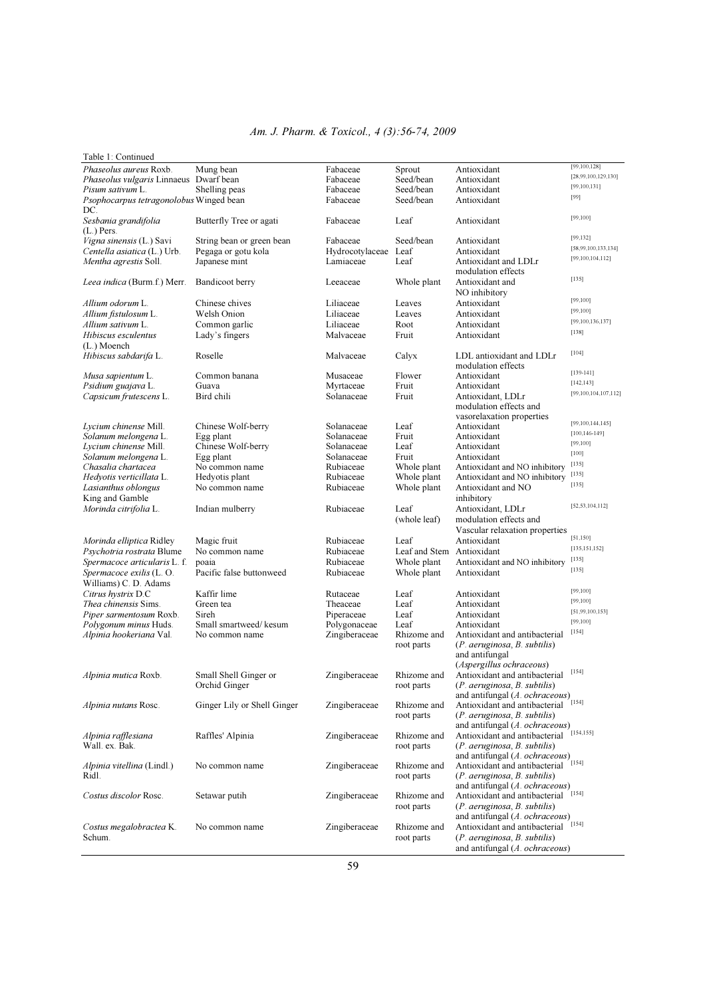#### *Am. J. Pharm. & Toxicol., 4 (3):56-74, 2009*

#### Table 1: Continued Phaseolus aureus Roxb. Mung bean Fabaceae Sprout Antioxidant [99,100,128]<br>
Phaseolus vulgaris Linnaeus Dwarf bean Fabaceae Seed/bean Antioxidant [28,99,100,129,130] Phaseolus vulgaris Linnaeus Dwarf bean Fabaceae Seed/bean Antioxidant [28,99,100,129]<br>Pisum sativum L. Shelling peas Fabaceae Seed/bean Antioxidant [99,100,131] Pisum sativum L. Shelling peas Fabaceae Seed/bean Antioxidant [99,100,131] Psophocarpus tetragonolobus Winged bean Fabaceae Seed/bean Antioxidant [99] Psophocarpus tetragonolobus Winged bean DC. Sesbania grandifolia Butterfly Tree or agati Fabaceae Leaf Antioxidant [99,100] (L.) Pers. Vigna sinensis (L.) Savi String bean or green bean Fabaceae Seed/bean Antioxidant [99,132]<br>Vigna sinensis (L.) Savi String bean protected below Herbert League J. C.C. Antioxidant [99,132] Centella asiatica (L.) Urb. Pegaga or gotu kola Hydrocotylaceae Leaf Antioxidant [58,99,100,133,134] Mentha agrestis Soll. Japanese mint Lamiaceae Leaf Antioxidant and LDLr modulation effects<br>
Leeaceae Whole plant Antioxidant and Leea indica (Burm.f.) Merr. Bandicoot berry Leeaceae Whole plant Antioxidant and [135]<br>NO inhibitory Month NO inhibitory Allium odorum L.<br>
Chinese chives Liliaceae Leaves Antioxidant [99,100]<br>
Liliaceae Leaves Antioxidant [99,100] Allium fistulosum L.<br>
Allium estimum L.<br>
Allium estimum L.<br>
Common estable Leaves Leaves Antioxidant [99,100] Allium sativum L. Common garlic Liliaceae Root Antioxidant <sup>[99,1</sup>]<br>
Hibiscus esculentus Lady's fingers Malvaceae Fruit Antioxidant <sup>[99,1</sup>] Hibiscus esculentus Lady's fingers Malvaceae Fruit (L.) Moench Roselle Malvaceae Calyx LDL antioxidant and LDLr [104] modulation effects<br>
Common banana<br>
Musaceae Flower Antioxidant Musa sapientum L. Common banana Musaceae Flower Antioxidant [139-141]<br>
Psidium guajava L. Guava Musaceae Fruit Antioxidant [142,143] Psidium guajava L. Guava Myrtaceae Fruit Antioxidant [142,143] Capsicum frutescens L. modulation effects and vasorelaxation properties Lycium chinense Mill. Chinese Wolf-berry Solanaceae Leaf Antioxidant [99,100,144,145]<br>Solanum melongena L. Egg plant Solanaceae Fruit Antioxidant [100,146-149] Solanum melongena L. Egg plant Solanaceae Fruit Antioxidant <sup>[100,146</sup>]<br>
Leaf Antioxidant [<sup>199,100</sup>]
<sub>L</sub>eaf Antioxidant [<sup>99,100</sup>] Lycium Chinese Wolf-berry Solanaceae Leaf Antioxidant [99,100]<br>
Egg plant Solanaceae Fruit Antioxidant [100] Solanum melongena L. Egg plant Solanaceae Fruit Antioxidant [100]<br>Chasalia chartacea No common name Rubiaceae Whole plant Antioxidant and NO inhibitory [135] Chasalia chartacea Mo common name Rubiaceae Whole plant Antioxidant and NO inhibitory <sup>[135]</sup><br>Rubiaceae Whole plant Antioxidant and NO inhibitory <sup>[135]</sup><br>Rubiaceae Whole plant Antioxidant and NO inhibitory <sup>[135]</sup> Antioxidant and NO inhibitory [135]<br>Antioxidant and NO inhibitory [135] Lasianthus oblongus No common name Rubiaceae Whole plant Antioxidant and NO<br>King and Gamble in this common name and Rubiaceae Whole plant Antioxidant and NO King and Gamble **inhibitory inhibitory inhibitory inhibitory inhibitory inhibitory inhibitory inhibitory inhibitory inhibitory indian mulberry indian mulbers indian in indian in indian ind** Morinda citrifolia L. Indian mulberry Rubiaceae Leaf Antioxidant, LDLr [52,53,104,112]<br>Morinda citrifolia L. Indian mulberry Rubiaceae Leaf Antioxidant, LDLr [52,53,104,112] modulation effects and Vascular relaxation properties<br>Antioxidant Morinda elliptica Ridley Magic fruit Rubiaceae Leaf Antioxidant [51,150]<br>Psychotria rostrata Blume No common name Rubiaceae Leaf and Stem Antioxidant [135,151,152] Psychotria rostrata Blume No common name Rubiaceae Leaf and Stem Antioxidant [135,<br>
Spermacoce articularis L. f. poaia Rubiaceae Rubiaceae Whole plant Antioxidant and NO inhibitory [135] Spermacoce articularis L. f. poaia **Rubiaceae** Whole plant Antioxidant and NO inhibitory <sup>[135]</sup><br>Spermacoce exilis (L. O. Pacific false buttonweed Rubiaceae Whole plant Antioxidant Pacific false buttonweed Williams) C. D. Adams Citrus hystrix D.C Kaffir lime Rutaceae Leaf Antioxidant [99,100] Thea chinensis Sims. Green tea Theaceae Leaf Antioxidant [99,100]<br>
Theaceae Leaf Antioxidant [99,100]<br>
Piper sarmentosum Roxb. Sireh Piperaceae Leaf Antioxidant [51,99,100,153] Piper sarmentosum Roxb. Sireh Piperaceae Leaf Antioxidant [51,99,100]<br>Polygonum minus Huds. Small smartweed/kesum Polygonaceae Leaf Antioxidant [99,100] Polygonum minus Huds. Small smartweed/ kesum Polygonaceae Leaf Antioxidant [99,100]<br>Alpinia hookeriana Val. No common name Zingiberaceae Rhizome and Antioxidant and antibacterial [154] Rhizome and Antioxidant and antibacterial root parts  $(P. aeruginosa, B. subtilis)$  $(P.$  aeruginosa, B. subtilis) and antifungal (Aspergillus ochraceous)<br>Alpinia mutica Roxb. Small Shell Ginger or Zingiberaceae Rhizome and Antioxidant and antibacte Small Shell Ginger or Zingiberaceae Rhizome and Antioxidant and antibacterial [154]<br>Orchid Ginger or Zingiberaceae Rhizome and Antioxidant and antibacterial [154]  $(P.$  aeruginosa, B. subtilis) Orchin Ultima Ultima<br>
Alpinia nutans Rosc. Ginger Lily or Shell Ginger and Zingiberaceae Rhizome and Antioxidant and antibacterial [154] Rhizome and Antioxidant and antibacterial root parts  $(P. aeruginosa, B. subtilis)$  $(P.$  aeruginosa,  $B.$  subtilis) and antifungal (A. ochraceous)<br>Alpinia rafflesiana antibacterial Raffles' Alpinia 2ingiberaceae Rhizome and Antioxidant and antibacterial [154,155] Wall. ex. Bak. **root parts** (*P. aeruginosa, B. subtilis*) and antifungal (A. ochraceous)<br>Alpinia vitellina (Lindl.) No common name <br>Zingiberaceae Rhizome and Antioxidant and antibacterial [154] Alpinia vitellina (Lindl.) No common name  $\sum$  Zingiberaceae Rhizome and Antioxidant and antibacterial root parts (*P. aeruginosa, B. subtilis*)  $(P.$  aeruginosa, B. subtilis) and antifungal (A. ochraceous) costus discolor Rosc. Setawar putih  $\sum$  ingiberaceae Rhizome and Antioxidant and antibacterial [154] Antioxidant and antibacterial root parts (P. aeruginosa, B. subtilis) and antifungal (A. ochraceous) Costus megalobractea K. No common name Zingiberaceae Rhizome and Antioxidant and antibacterial [154]<br>Schum. (P. aeruginosa, B. subtilis)  $(P.$  aeruginosa, B. subtilis) and antifungal (A. ochraceous)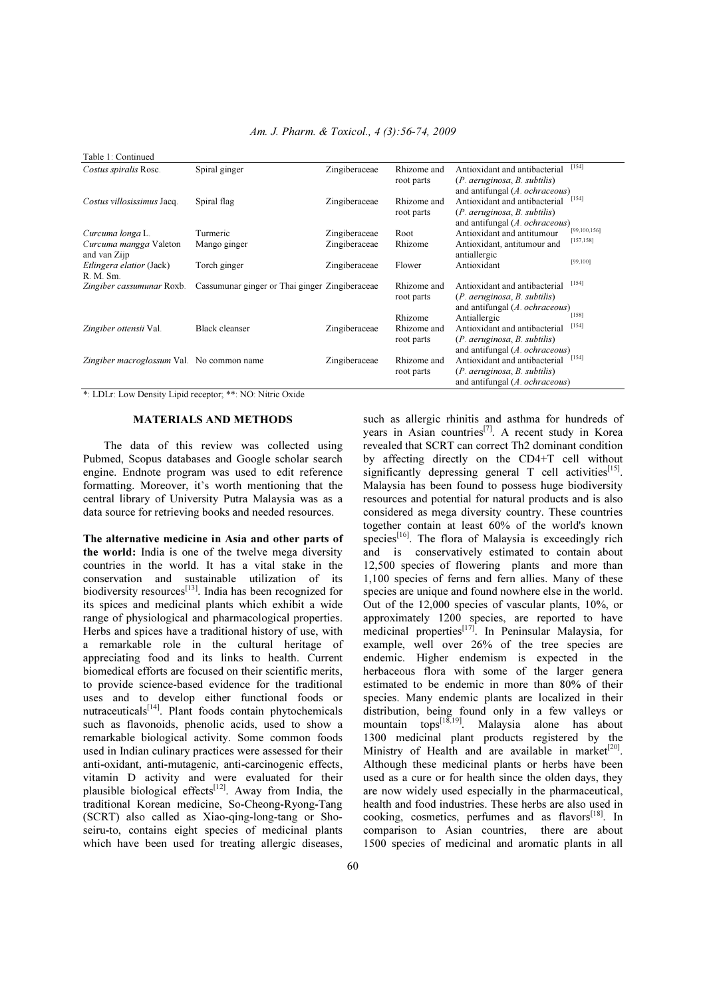| Table 1: Continued                           |                                                |               |                           |                                                                                                       |                |
|----------------------------------------------|------------------------------------------------|---------------|---------------------------|-------------------------------------------------------------------------------------------------------|----------------|
| Costus spiralis Rosc.                        | Spiral ginger                                  | Zingiberaceae | Rhizome and<br>root parts | Antioxidant and antibacterial<br>$(P.$ aeruginosa, $B.$ subtilis)<br>and antifungal $(A. ochraceous)$ | [154]          |
| Costus villosissimus Jacq.                   | Spiral flag                                    | Zingiberaceae | Rhizome and<br>root parts | Antioxidant and antibacterial<br>$(P.$ aeruginosa, $B.$ subtilis)<br>and antifungal $(A. ochraceous)$ | [154]          |
| Curcuma longa L.                             | Turmeric                                       | Zingiberaceae | Root                      | Antioxidant and antitumour                                                                            | [99, 100, 156] |
| Curcuma mangga Valeton<br>and van Zijp       | Mango ginger                                   | Zingiberaceae | Rhizome                   | Antioxidant, antitumour and<br>antiallergic                                                           | [157, 158]     |
| <i>Etlingera elatior</i> (Jack)<br>R. M. Sm. | Torch ginger                                   | Zingiberaceae | Flower                    | Antioxidant                                                                                           | [99, 100]      |
| Zingiber cassumunar Roxb.                    | Cassumunar ginger or Thai ginger Zingiberaceae |               | Rhizome and<br>root parts | Antioxidant and antibacterial<br>$(P.$ aeruginosa, $B.$ subtilis)<br>and antifungal $(A. ochraceous)$ | [154]<br>[158] |
| Zingiber ottensii Val.                       | <b>Black cleanser</b>                          | Zingiberaceae | Rhizome<br>Rhizome and    | Antiallergic<br>Antioxidant and antibacterial                                                         | [154]          |
|                                              |                                                |               | root parts                | $(P.$ aeruginosa, $B.$ subtilis)<br>and antifungal $(A. ochraceous)$                                  |                |
| Zingiber macroglossum Val. No common name    |                                                | Zingiberaceae | Rhizome and<br>root parts | Antioxidant and antibacterial<br>$(P.$ aeruginosa, $B.$ subtilis)<br>and antifungal $(A. ochraceous)$ | [154]          |

\*: LDLr: Low Density Lipid receptor; \*\*: NO: Nitric Oxide

### MATERIALS AND METHODS

 The data of this review was collected using Pubmed, Scopus databases and Google scholar search engine. Endnote program was used to edit reference formatting. Moreover, it's worth mentioning that the central library of University Putra Malaysia was as a data source for retrieving books and needed resources.

The alternative medicine in Asia and other parts of the world: India is one of the twelve mega diversity countries in the world. It has a vital stake in the conservation and sustainable utilization of its biodiversity resources $^{[13]}$ . India has been recognized for its spices and medicinal plants which exhibit a wide range of physiological and pharmacological properties. Herbs and spices have a traditional history of use, with a remarkable role in the cultural heritage of appreciating food and its links to health. Current biomedical efforts are focused on their scientific merits, to provide science-based evidence for the traditional uses and to develop either functional foods or nutraceuticals<sup>[14]</sup>. Plant foods contain phytochemicals such as flavonoids, phenolic acids, used to show a remarkable biological activity. Some common foods used in Indian culinary practices were assessed for their anti-oxidant, anti-mutagenic, anti-carcinogenic effects, vitamin D activity and were evaluated for their plausible biological effects $[12]$ . Away from India, the traditional Korean medicine, So-Cheong-Ryong-Tang (SCRT) also called as Xiao-qing-long-tang or Shoseiru-to, contains eight species of medicinal plants which have been used for treating allergic diseases,

such as allergic rhinitis and asthma for hundreds of years in Asian countries<sup>[7]</sup>. A recent study in Korea revealed that SCRT can correct Th2 dominant condition by affecting directly on the CD4+T cell without significantly depressing general  $T$  cell activities<sup>[15]</sup>. Malaysia has been found to possess huge biodiversity resources and potential for natural products and is also considered as mega diversity country. These countries together contain at least 60% of the world's known species $[16]$ . The flora of Malaysia is exceedingly rich and is conservatively estimated to contain about 12,500 species of flowering plants and more than 1,100 species of ferns and fern allies. Many of these species are unique and found nowhere else in the world. Out of the 12,000 species of vascular plants, 10%, or approximately 1200 species, are reported to have medicinal properties<sup>[17]</sup>. In Peninsular Malaysia, for example, well over 26% of the tree species are endemic. Higher endemism is expected in the herbaceous flora with some of the larger genera estimated to be endemic in more than 80% of their species. Many endemic plants are localized in their distribution, being found only in a few valleys or mountain tops<sup>[18,19]</sup>. Malaysia alone has about 1300 medicinal plant products registered by the Ministry of Health and are available in market<sup>[20]</sup>. Although these medicinal plants or herbs have been used as a cure or for health since the olden days, they are now widely used especially in the pharmaceutical, health and food industries. These herbs are also used in cooking, cosmetics, perfumes and as flavors<sup>[18]</sup>. In comparison to Asian countries, there are about 1500 species of medicinal and aromatic plants in all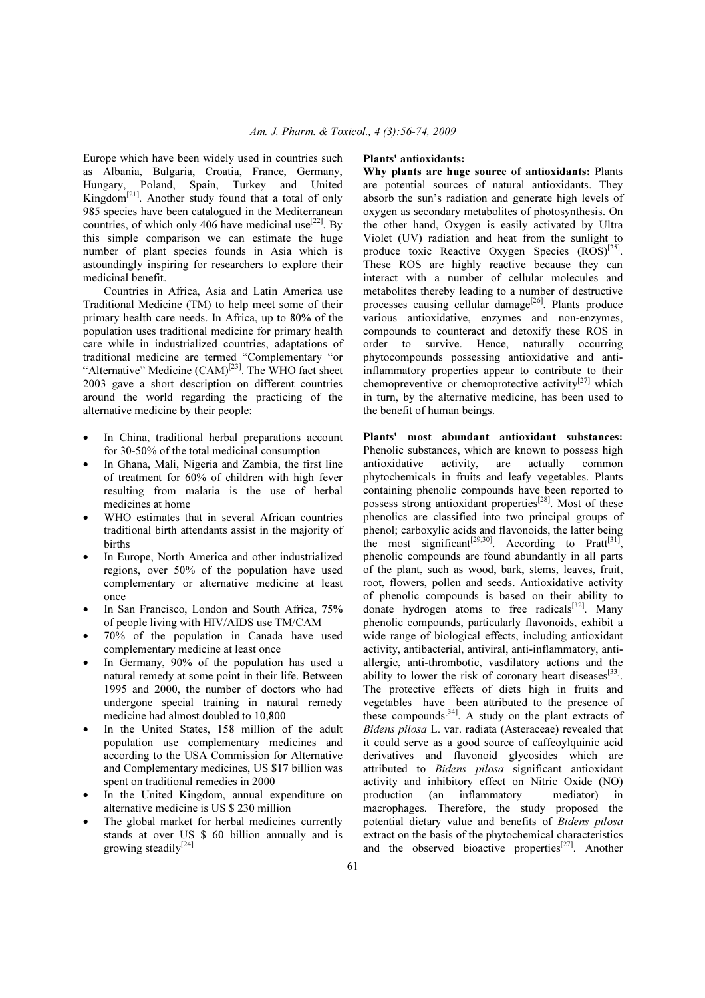Europe which have been widely used in countries such as Albania, Bulgaria, Croatia, France, Germany, Hungary, Poland, Spain, Turkey and United Kingdom<sup>[21]</sup>. Another study found that a total of only 985 species have been catalogued in the Mediterranean countries, of which only 406 have medicinal use<sup>[22]</sup>. By this simple comparison we can estimate the huge number of plant species founds in Asia which is astoundingly inspiring for researchers to explore their medicinal benefit.

 Countries in Africa, Asia and Latin America use Traditional Medicine (TM) to help meet some of their primary health care needs. In Africa, up to 80% of the population uses traditional medicine for primary health care while in industrialized countries, adaptations of traditional medicine are termed "Complementary "or "Alternative" Medicine  $(CAM)^{[23]}$ . The WHO fact sheet 2003 gave a short description on different countries around the world regarding the practicing of the alternative medicine by their people:

- In China, traditional herbal preparations account for 30-50% of the total medicinal consumption
- In Ghana, Mali, Nigeria and Zambia, the first line of treatment for 60% of children with high fever resulting from malaria is the use of herbal medicines at home
- WHO estimates that in several African countries traditional birth attendants assist in the majority of births
- In Europe, North America and other industrialized regions, over 50% of the population have used complementary or alternative medicine at least once
- In San Francisco, London and South Africa, 75% of people living with HIV/AIDS use TM/CAM
- 70% of the population in Canada have used complementary medicine at least once
- In Germany, 90% of the population has used a natural remedy at some point in their life. Between 1995 and 2000, the number of doctors who had undergone special training in natural remedy medicine had almost doubled to 10,800
- In the United States, 158 million of the adult population use complementary medicines and according to the USA Commission for Alternative and Complementary medicines, US \$17 billion was spent on traditional remedies in 2000
- In the United Kingdom, annual expenditure on alternative medicine is US \$ 230 million
- The global market for herbal medicines currently stands at over US \$ 60 billion annually and is growing steadily<sup>[24]</sup>

#### Plants' antioxidants:

Why plants are huge source of antioxidants: Plants are potential sources of natural antioxidants. They absorb the sun's radiation and generate high levels of oxygen as secondary metabolites of photosynthesis. On the other hand, Oxygen is easily activated by Ultra Violet (UV) radiation and heat from the sunlight to produce toxic Reactive Oxygen Species  $(ROS)^{[25]}$ . These ROS are highly reactive because they can interact with a number of cellular molecules and metabolites thereby leading to a number of destructive processes causing cellular damage<sup>[26]</sup>. Plants produce various antioxidative, enzymes and non-enzymes, compounds to counteract and detoxify these ROS in order to survive. Hence, naturally occurring phytocompounds possessing antioxidative and antiinflammatory properties appear to contribute to their chemopreventive or chemoprotective activity<sup>[27]</sup> which in turn, by the alternative medicine, has been used to the benefit of human beings.

Plants' most abundant antioxidant substances: Phenolic substances, which are known to possess high antioxidative activity, are actually common phytochemicals in fruits and leafy vegetables. Plants containing phenolic compounds have been reported to possess strong antioxidant properties<sup>[28]</sup>. Most of these phenolics are classified into two principal groups of phenol; carboxylic acids and flavonoids, the latter being the most significant<sup>[29,30]</sup>. According to Pratt<sup>[31]</sup>, phenolic compounds are found abundantly in all parts of the plant, such as wood, bark, stems, leaves, fruit, root, flowers, pollen and seeds. Antioxidative activity of phenolic compounds is based on their ability to donate hydrogen atoms to free radicals $[32]$ . Many phenolic compounds, particularly flavonoids, exhibit a wide range of biological effects, including antioxidant activity, antibacterial, antiviral, anti-inflammatory, antiallergic, anti-thrombotic, vasdilatory actions and the ability to lower the risk of coronary heart diseases<sup>[33]</sup>. The protective effects of diets high in fruits and vegetables have been attributed to the presence of these compounds $[34]$ . A study on the plant extracts of *Bidens pilosa* L. var. radiata (Asteraceae) revealed that it could serve as a good source of caffeoylquinic acid derivatives and flavonoid glycosides which are attributed to *Bidens pilosa* significant antioxidant activity and inhibitory effect on Nitric Oxide (NO) production (an inflammatory mediator) in macrophages. Therefore, the study proposed the potential dietary value and benefits of *Bidens pilosa*  extract on the basis of the phytochemical characteristics and the observed bioactive properties $[27]$ . Another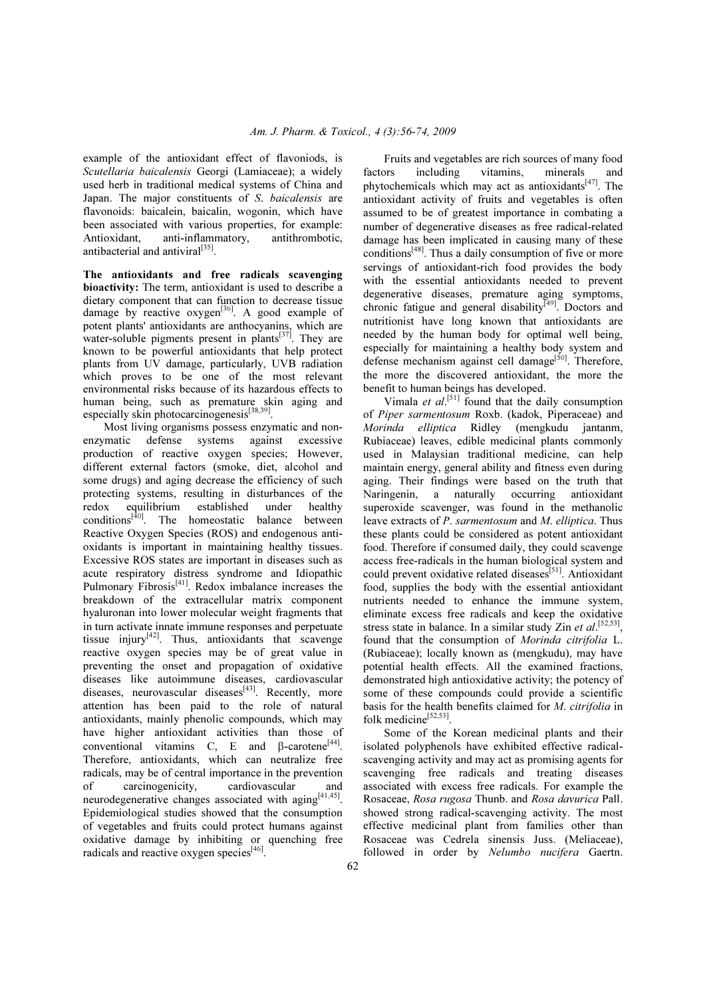example of the antioxidant effect of flavoniods, is *Scutellaria baicalensis* Georgi (Lamiaceae); a widely used herb in traditional medical systems of China and Japan. The major constituents of *S*. *baicalensis* are flavonoids: baicalein, baicalin, wogonin, which have been associated with various properties, for example: Antioxidant, anti-inflammatory, antithrombotic, antibacterial and antiviral<sup>[35]</sup>.

The antioxidants and free radicals scavenging bioactivity: The term, antioxidant is used to describe a dietary component that can function to decrease tissue damage by reactive  $oxygen^{[36]}$ . A good example of potent plants' antioxidants are anthocyanins, which are water-soluble pigments present in plants<sup>[37]</sup>. They are known to be powerful antioxidants that help protect plants from UV damage, particularly, UVB radiation which proves to be one of the most relevant environmental risks because of its hazardous effects to human being, such as premature skin aging and especially skin photocarcinogenesis<sup>[38,39]</sup>.

 Most living organisms possess enzymatic and nonenzymatic defense systems against excessive production of reactive oxygen species; However, different external factors (smoke, diet, alcohol and some drugs) and aging decrease the efficiency of such protecting systems, resulting in disturbances of the redox equilibrium established under healthy conditions<sup>[40]</sup>. The homeostatic balance between Reactive Oxygen Species (ROS) and endogenous antioxidants is important in maintaining healthy tissues. Excessive ROS states are important in diseases such as acute respiratory distress syndrome and Idiopathic Pulmonary Fibrosis<sup>[41]</sup>. Redox imbalance increases the breakdown of the extracellular matrix component hyaluronan into lower molecular weight fragments that in turn activate innate immune responses and perpetuate tissue injury $[42]$ . Thus, antioxidants that scavenge reactive oxygen species may be of great value in preventing the onset and propagation of oxidative diseases like autoimmune diseases, cardiovascular diseases, neurovascular diseases<sup>[43]</sup>. Recently, more attention has been paid to the role of natural antioxidants, mainly phenolic compounds, which may have higher antioxidant activities than those of conventional vitamins C, E and  $\beta$ -carotene<sup>[44]</sup>. Therefore, antioxidants, which can neutralize free radicals, may be of central importance in the prevention of carcinogenicity, cardiovascular and neurodegenerative changes associated with aging  $[41,45]$ . Epidemiological studies showed that the consumption of vegetables and fruits could protect humans against oxidative damage by inhibiting or quenching free radicals and reactive oxygen species<sup>[46]</sup>.

 Fruits and vegetables are rich sources of many food factors including vitamins, minerals and phytochemicals which may act as antioxidants $[47]$ . The antioxidant activity of fruits and vegetables is often assumed to be of greatest importance in combating a number of degenerative diseases as free radical-related damage has been implicated in causing many of these conditions<sup>[48]</sup>. Thus a daily consumption of five or more servings of antioxidant-rich food provides the body with the essential antioxidants needed to prevent degenerative diseases, premature aging symptoms, chronic fatigue and general disability<sup>[49]</sup>. Doctors and nutritionist have long known that antioxidants are needed by the human body for optimal well being, especially for maintaining a healthy body system and defense mechanism against cell damage $\left[50\right]$ . Therefore, the more the discovered antioxidant, the more the benefit to human beings has developed.

Vimala *et al.*<sup>[51]</sup> found that the daily consumption of *Piper sarmentosum* Roxb. (kadok, Piperaceae) and *Morinda elliptica* Ridley (mengkudu jantanm, Rubiaceae) leaves, edible medicinal plants commonly used in Malaysian traditional medicine, can help maintain energy, general ability and fitness even during aging. Their findings were based on the truth that Naringenin, a naturally occurring antioxidant superoxide scavenger, was found in the methanolic leave extracts of *P*. *sarmentosum* and *M*. *elliptica*. Thus these plants could be considered as potent antioxidant food. Therefore if consumed daily, they could scavenge access free-radicals in the human biological system and could prevent oxidative related diseases<sup>[51]</sup>. Antioxidant food, supplies the body with the essential antioxidant nutrients needed to enhance the immune system, eliminate excess free radicals and keep the oxidative stress state in balance. In a similar study Zin *et al*.<sup>[52,53]</sup>, found that the consumption of *Morinda citrifolia* L. (Rubiaceae); locally known as (mengkudu), may have potential health effects. All the examined fractions, demonstrated high antioxidative activity; the potency of some of these compounds could provide a scientific basis for the health benefits claimed for *M*. *citrifolia* in folk medicine<sup>[52,53]</sup>.

 Some of the Korean medicinal plants and their isolated polyphenols have exhibited effective radicalscavenging activity and may act as promising agents for scavenging free radicals and treating diseases associated with excess free radicals. For example the Rosaceae, *Rosa rugosa* Thunb. and *Rosa davurica* Pall. showed strong radical-scavenging activity. The most effective medicinal plant from families other than Rosaceae was Cedrela sinensis Juss. (Meliaceae), followed in order by *Nelumbo nucifera* Gaertn.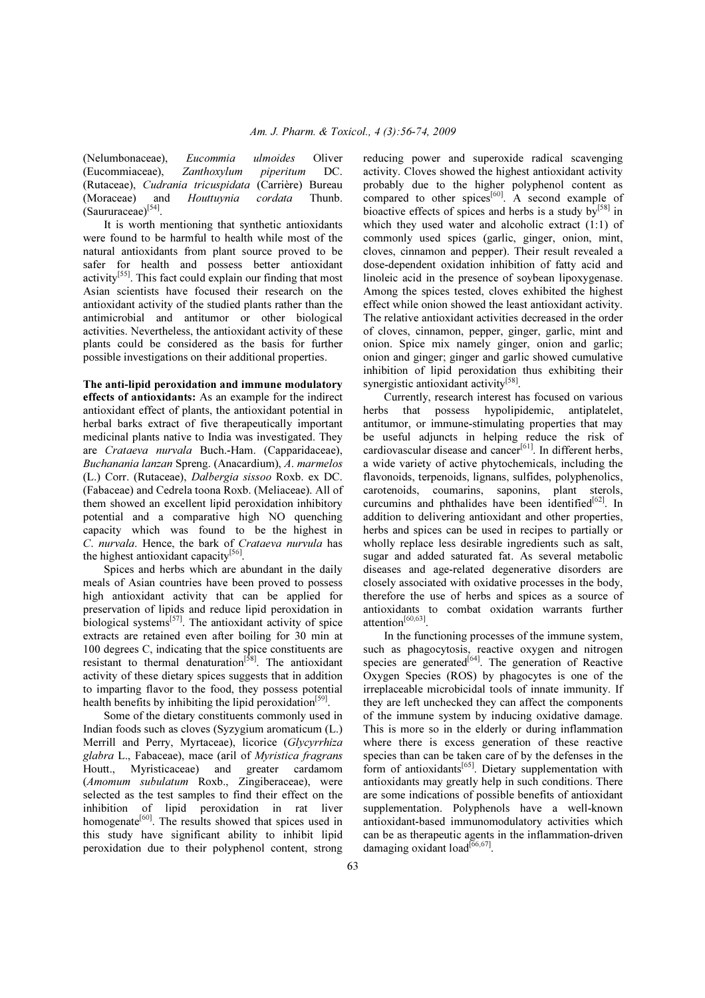(Nelumbonaceae), *Eucommia ulmoides* Oliver (Eucommiaceae), *Zanthoxylum piperitum* DC. (Rutaceae), *Cudrania tricuspidata* (Carrière) Bureau (Moraceae) and *Houttuynia cordata* Thunb.  $(Saururaceae)^{[54]}$ .

 It is worth mentioning that synthetic antioxidants were found to be harmful to health while most of the natural antioxidants from plant source proved to be safer for health and possess better antioxidant activity<sup>[55]</sup>. This fact could explain our finding that most Asian scientists have focused their research on the antioxidant activity of the studied plants rather than the antimicrobial and antitumor or other biological activities. Nevertheless, the antioxidant activity of these plants could be considered as the basis for further possible investigations on their additional properties.

The anti-lipid peroxidation and immune modulatory effects of antioxidants: As an example for the indirect antioxidant effect of plants, the antioxidant potential in herbal barks extract of five therapeutically important medicinal plants native to India was investigated. They are *Crataeva nurvala* Buch.-Ham. (Capparidaceae), *Buchanania lanzan* Spreng. (Anacardium), *A*. *marmelos* (L.) Corr. (Rutaceae), *Dalbergia sissoo* Roxb. ex DC. (Fabaceae) and Cedrela toona Roxb. (Meliaceae). All of them showed an excellent lipid peroxidation inhibitory potential and a comparative high NO quenching capacity which was found to be the highest in *C*. *nurvala*. Hence, the bark of *Crataeva nurvula* has the highest antioxidant capacity<sup>[56]</sup>.

 Spices and herbs which are abundant in the daily meals of Asian countries have been proved to possess high antioxidant activity that can be applied for preservation of lipids and reduce lipid peroxidation in biological systems $<sup>[57]</sup>$ . The antioxidant activity of spice</sup> extracts are retained even after boiling for 30 min at 100 degrees C, indicating that the spice constituents are resistant to thermal denaturation<sup>[58]</sup>. The antioxidant activity of these dietary spices suggests that in addition to imparting flavor to the food, they possess potential health benefits by inhibiting the lipid peroxidation<sup>[59]</sup>.

 Some of the dietary constituents commonly used in Indian foods such as cloves (Syzygium aromaticum (L.) Merrill and Perry, Myrtaceae), licorice (*Glycyrrhiza glabra* L., Fabaceae), mace (aril of *Myristica fragrans* Houtt., Myristicaceae) and greater cardamom (*Amomum subulatum* Roxb., Zingiberaceae), were selected as the test samples to find their effect on the inhibition of lipid peroxidation in rat liver homogenate<sup>[60]</sup>. The results showed that spices used in this study have significant ability to inhibit lipid peroxidation due to their polyphenol content, strong reducing power and superoxide radical scavenging activity. Cloves showed the highest antioxidant activity probably due to the higher polyphenol content as compared to other spices $[60]$ . A second example of bioactive effects of spices and herbs is a study  $by^{[58]}$  in which they used water and alcoholic extract (1:1) of commonly used spices (garlic, ginger, onion, mint, cloves, cinnamon and pepper). Their result revealed a dose-dependent oxidation inhibition of fatty acid and linoleic acid in the presence of soybean lipoxygenase. Among the spices tested, cloves exhibited the highest effect while onion showed the least antioxidant activity. The relative antioxidant activities decreased in the order of cloves, cinnamon, pepper, ginger, garlic, mint and onion. Spice mix namely ginger, onion and garlic; onion and ginger; ginger and garlic showed cumulative inhibition of lipid peroxidation thus exhibiting their synergistic antioxidant activity<sup>[58]</sup>.

 Currently, research interest has focused on various herbs that possess hypolipidemic, antiplatelet, antitumor, or immune-stimulating properties that may be useful adjuncts in helping reduce the risk of cardiovascular disease and cancer<sup>[61]</sup>. In different herbs, a wide variety of active phytochemicals, including the flavonoids, terpenoids, lignans, sulfides, polyphenolics, carotenoids, coumarins, saponins, plant sterols, curcumins and phthalides have been identified<sup>[62]</sup>. In addition to delivering antioxidant and other properties, herbs and spices can be used in recipes to partially or wholly replace less desirable ingredients such as salt, sugar and added saturated fat. As several metabolic diseases and age-related degenerative disorders are closely associated with oxidative processes in the body, therefore the use of herbs and spices as a source of antioxidants to combat oxidation warrants further attention[60,63] .

 In the functioning processes of the immune system, such as phagocytosis, reactive oxygen and nitrogen species are generated<sup>[64]</sup>. The generation of Reactive Oxygen Species (ROS) by phagocytes is one of the irreplaceable microbicidal tools of innate immunity. If they are left unchecked they can affect the components of the immune system by inducing oxidative damage. This is more so in the elderly or during inflammation where there is excess generation of these reactive species than can be taken care of by the defenses in the form of antioxidants $[65]$ . Dietary supplementation with antioxidants may greatly help in such conditions. There are some indications of possible benefits of antioxidant supplementation. Polyphenols have a well-known antioxidant-based immunomodulatory activities which can be as therapeutic agents in the inflammation-driven damaging oxidant load<sup>[66,67]</sup>.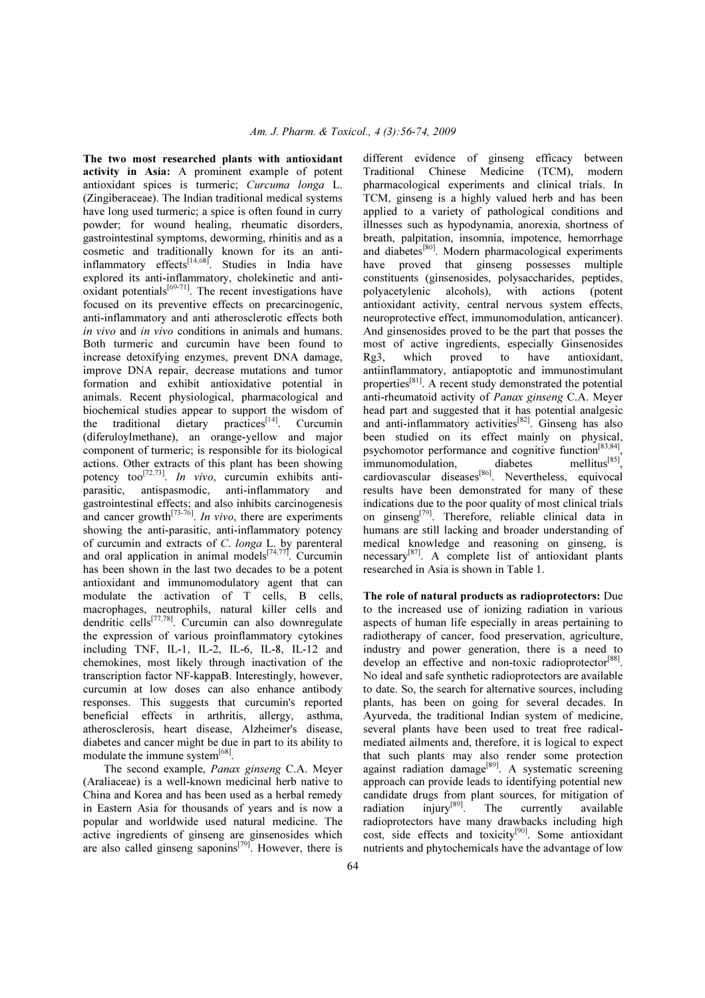The two most researched plants with antioxidant activity in Asia: A prominent example of potent antioxidant spices is turmeric; *Curcuma longa* L. (Zingiberaceae). The Indian traditional medical systems have long used turmeric; a spice is often found in curry powder; for wound healing, rheumatic disorders, gastrointestinal symptoms, deworming, rhinitis and as a cosmetic and traditionally known for its an antiinflammatory effects<sup>[14,68]</sup>. Studies in India have explored its anti-inflammatory, cholekinetic and antioxidant potentials $[69-71]$ . The recent investigations have focused on its preventive effects on precarcinogenic, anti-inflammatory and anti atherosclerotic effects both *in vivo* and *in vivo* conditions in animals and humans. Both turmeric and curcumin have been found to increase detoxifying enzymes, prevent DNA damage, improve DNA repair, decrease mutations and tumor formation and exhibit antioxidative potential in animals. Recent physiological, pharmacological and biochemical studies appear to support the wisdom of the traditional dietary practices<sup>[14]</sup>. Curcumin (diferuloylmethane), an orange-yellow and major component of turmeric; is responsible for its biological actions. Other extracts of this plant has been showing potency too<sup>[72,73]</sup>. *In vivo*, curcumin exhibits antiparasitic, antispasmodic, anti-inflammatory and gastrointestinal effects; and also inhibits carcinogenesis and cancer growth<sup>[73-76]</sup>. *In vivo*, there are experiments showing the anti-parasitic, anti-inflammatory potency of curcumin and extracts of *C*. *longa* L. by parenteral and oral application in animal models<sup>[74,77]</sup>. Curcumin has been shown in the last two decades to be a potent antioxidant and immunomodulatory agent that can modulate the activation of T cells, B cells, macrophages, neutrophils, natural killer cells and dendritic cells<sup>[77,78]</sup>. Curcumin can also downregulate the expression of various proinflammatory cytokines including TNF, IL-1, IL-2, IL-6, IL-8, IL-12 and chemokines, most likely through inactivation of the transcription factor NF-kappaB. Interestingly, however, curcumin at low doses can also enhance antibody responses. This suggests that curcumin's reported beneficial effects in arthritis, allergy, asthma, atherosclerosis, heart disease, Alzheimer's disease, diabetes and cancer might be due in part to its ability to modulate the immune system<sup>[68]</sup>.

 The second example, *Panax ginseng* C.A. Meyer (Araliaceae) is a well-known medicinal herb native to China and Korea and has been used as a herbal remedy in Eastern Asia for thousands of years and is now a popular and worldwide used natural medicine. The active ingredients of ginseng are ginsenosides which are also called ginseng saponins<sup> $[79]$ </sup>. However, there is

different evidence of ginseng efficacy between Traditional Chinese Medicine (TCM), modern pharmacological experiments and clinical trials. In TCM, ginseng is a highly valued herb and has been applied to a variety of pathological conditions and illnesses such as hypodynamia, anorexia, shortness of breath, palpitation, insomnia, impotence, hemorrhage and diabetes<sup>[80]</sup>. Modern pharmacological experiments have proved that ginseng possesses multiple constituents (ginsenosides, polysaccharides, peptides, polyacetylenic alcohols), with actions (potent antioxidant activity, central nervous system effects, neuroprotective effect, immunomodulation, anticancer). And ginsenosides proved to be the part that posses the most of active ingredients, especially Ginsenosides Rg3, which proved to have antioxidant, antiinflammatory, antiapoptotic and immunostimulant properties[81]. A recent study demonstrated the potential anti-rheumatoid activity of *Panax ginseng* C.A. Meyer head part and suggested that it has potential analgesic and anti-inflammatory activities $[82]$ . Ginseng has also been studied on its effect mainly on physical, psychomotor performance and cognitive function<sup>[83,84]</sup>, immunomodulation, diabetes mellitus<sup>[85]</sup>, cardiovascular diseases<sup>[86]</sup>. Nevertheless, equivocal results have been demonstrated for many of these indications due to the poor quality of most clinical trials on ginseng[79]. Therefore, reliable clinical data in humans are still lacking and broader understanding of medical knowledge and reasoning on ginseng, is necessary [87]. A complete list of antioxidant plants researched in Asia is shown in Table 1.

The role of natural products as radioprotectors: Due to the increased use of ionizing radiation in various aspects of human life especially in areas pertaining to radiotherapy of cancer, food preservation, agriculture, industry and power generation, there is a need to develop an effective and non-toxic radioprotector<sup>[88]</sup>. No ideal and safe synthetic radioprotectors are available to date. So, the search for alternative sources, including plants, has been on going for several decades. In Ayurveda, the traditional Indian system of medicine, several plants have been used to treat free radicalmediated ailments and, therefore, it is logical to expect that such plants may also render some protection against radiation damage<sup>[89]</sup>. A systematic screening approach can provide leads to identifying potential new candidate drugs from plant sources, for mitigation of radiation  $invv^{\{89\}}$ . The currently available radiation injury<sup>[89]</sup>. The currently available radioprotectors have many drawbacks including high cost, side effects and toxicity[90]. Some antioxidant nutrients and phytochemicals have the advantage of low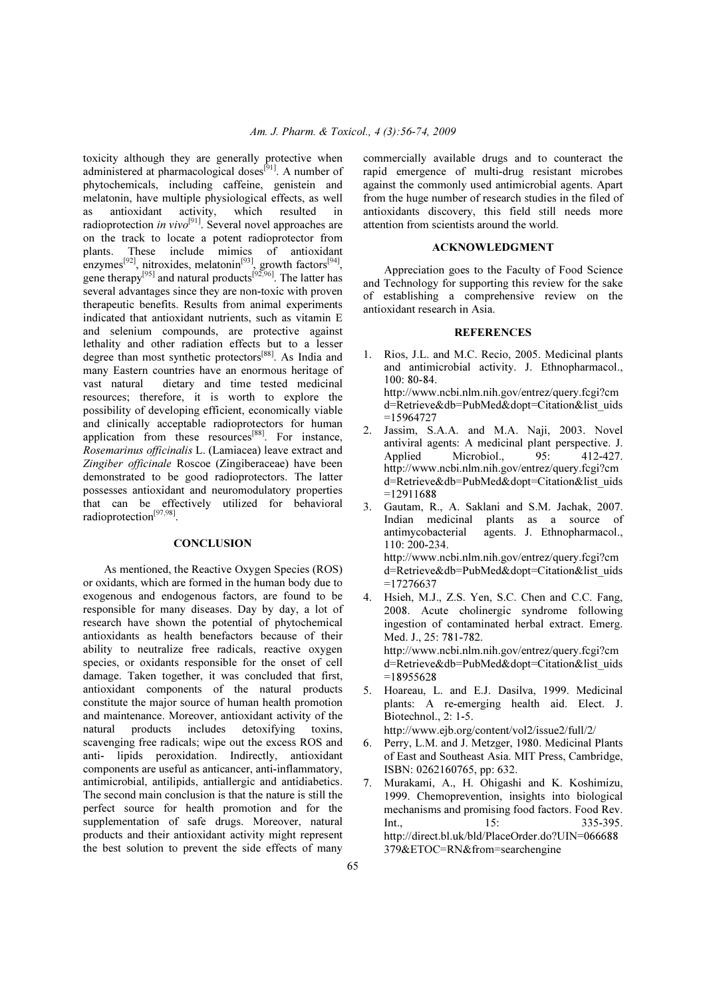toxicity although they are generally protective when administered at pharmacological doses<sup>[91]</sup>. A number of phytochemicals, including caffeine, genistein and melatonin, have multiple physiological effects, as well as antioxidant activity, which resulted in radioprotection *in vivo*<sup>[91]</sup>. Several novel approaches are on the track to locate a potent radioprotector from plants. These include mimics of antioxidant enzymes<sup>[92]</sup>, nitroxides, melatonin<sup>[93]</sup>, growth factors<sup>[94]</sup>, gene therapy<sup>[95]</sup> and natural products<sup>[92,96]</sup>. The latter has several advantages since they are non-toxic with proven therapeutic benefits. Results from animal experiments indicated that antioxidant nutrients, such as vitamin E and selenium compounds, are protective against lethality and other radiation effects but to a lesser degree than most synthetic protectors[88]. As India and many Eastern countries have an enormous heritage of<br>vast natural dietary and time tested medicinal dietary and time tested medicinal resources; therefore, it is worth to explore the possibility of developing efficient, economically viable and clinically acceptable radioprotectors for human application from these resources<sup>[88]</sup>. For instance, *Rosemarinus officinalis* L. (Lamiacea) leave extract and *Zingiber officinale* Roscoe (Zingiberaceae) have been demonstrated to be good radioprotectors. The latter possesses antioxidant and neuromodulatory properties that can be effectively utilized for behavioral radioprotection<sup>[97,98]</sup>.

## **CONCLUSION**

 As mentioned, the Reactive Oxygen Species (ROS) or oxidants, which are formed in the human body due to exogenous and endogenous factors, are found to be responsible for many diseases. Day by day, a lot of research have shown the potential of phytochemical antioxidants as health benefactors because of their ability to neutralize free radicals, reactive oxygen species, or oxidants responsible for the onset of cell damage. Taken together, it was concluded that first, antioxidant components of the natural products constitute the major source of human health promotion and maintenance. Moreover, antioxidant activity of the natural products includes detoxifying toxins, scavenging free radicals; wipe out the excess ROS and anti- lipids peroxidation. Indirectly, antioxidant components are useful as anticancer, anti-inflammatory, antimicrobial, antilipids, antiallergic and antidiabetics. The second main conclusion is that the nature is still the perfect source for health promotion and for the supplementation of safe drugs. Moreover, natural products and their antioxidant activity might represent the best solution to prevent the side effects of many

commercially available drugs and to counteract the rapid emergence of multi-drug resistant microbes against the commonly used antimicrobial agents. Apart from the huge number of research studies in the filed of antioxidants discovery, this field still needs more attention from scientists around the world.

#### ACKNOWLEDGMENT

 Appreciation goes to the Faculty of Food Science and Technology for supporting this review for the sake of establishing a comprehensive review on the antioxidant research in Asia.

#### **REFERENCES**

1. Rios, J.L. and M.C. Recio, 2005. Medicinal plants and antimicrobial activity. J. Ethnopharmacol., 100: 80-84. http://www.ncbi.nlm.nih.gov/entrez/query.fcgi?cm

d=Retrieve&db=PubMed&dopt=Citation&list\_uids =15964727

- 2. Jassim, S.A.A. and M.A. Naji, 2003. Novel antiviral agents: A medicinal plant perspective. J. Applied Microbiol., 95: 412-427. http://www.ncbi.nlm.nih.gov/entrez/query.fcgi?cm d=Retrieve&db=PubMed&dopt=Citation&list\_uids =12911688
- 3. Gautam, R., A. Saklani and S.M. Jachak, 2007. Indian medicinal plants as a source of antimycobacterial agents. J. Ethnopharmacol., 110: 200-234. http://www.ncbi.nlm.nih.gov/entrez/query.fcgi?cm d=Retrieve&db=PubMed&dopt=Citation&list\_uids =17276637
- 4. Hsieh, M.J., Z.S. Yen, S.C. Chen and C.C. Fang, 2008. Acute cholinergic syndrome following ingestion of contaminated herbal extract. Emerg. Med. J., 25: 781-782. http://www.ncbi.nlm.nih.gov/entrez/query.fcgi?cm d=Retrieve&db=PubMed&dopt=Citation&list\_uids =18955628
- 5. Hoareau, L. and E.J. Dasilva, 1999. Medicinal plants: A re-emerging health aid. Elect. J. Biotechnol., 2: 1-5.

http://www.ejb.org/content/vol2/issue2/full/2/

- 6. Perry, L.M. and J. Metzger, 1980. Medicinal Plants of East and Southeast Asia. MIT Press, Cambridge, ISBN: 0262160765, pp: 632.
- 7. Murakami, A., H. Ohigashi and K. Koshimizu, 1999. Chemoprevention, insights into biological mechanisms and promising food factors. Food Rev.  $Int$  15: 335-395 http://direct.bl.uk/bld/PlaceOrder.do?UIN=066688 379&ETOC=RN&from=searchengine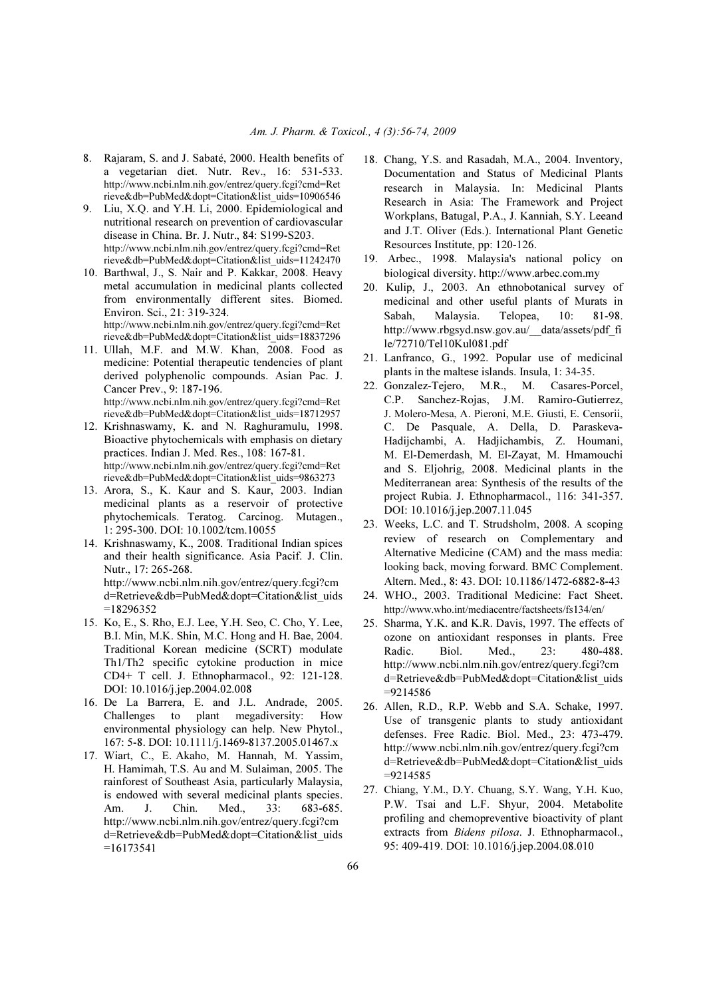- 8. Rajaram, S. and J. Sabaté, 2000. Health benefits of a vegetarian diet. Nutr. Rev., 16: 531-533. http://www.ncbi.nlm.nih.gov/entrez/query.fcgi?cmd=Ret rieve&db=PubMed&dopt=Citation&list\_uids=10906546
- 9. Liu, X.Q. and Y.H. Li, 2000. Epidemiological and nutritional research on prevention of cardiovascular disease in China. Br. J. Nutr., 84: S199-S203. http://www.ncbi.nlm.nih.gov/entrez/query.fcgi?cmd=Ret rieve&db=PubMed&dopt=Citation&list\_uids=11242470
- 10. Barthwal, J., S. Nair and P. Kakkar, 2008. Heavy metal accumulation in medicinal plants collected from environmentally different sites. Biomed. Environ. Sci., 21: 319-324. http://www.ncbi.nlm.nih.gov/entrez/query.fcgi?cmd=Ret rieve&db=PubMed&dopt=Citation&list\_uids=18837296
- 11. Ullah, M.F. and M.W. Khan, 2008. Food as medicine: Potential therapeutic tendencies of plant derived polyphenolic compounds. Asian Pac. J. Cancer Prev., 9: 187-196. http://www.ncbi.nlm.nih.gov/entrez/query.fcgi?cmd=Ret rieve&db=PubMed&dopt=Citation&list\_uids=18712957
- 12. Krishnaswamy, K. and N. Raghuramulu, 1998. Bioactive phytochemicals with emphasis on dietary practices. Indian J. Med. Res., 108: 167-81. http://www.ncbi.nlm.nih.gov/entrez/query.fcgi?cmd=Ret rieve&db=PubMed&dopt=Citation&list\_uids=9863273
- 13. Arora, S., K. Kaur and S. Kaur, 2003. Indian medicinal plants as a reservoir of protective phytochemicals. Teratog. Carcinog. Mutagen., 1: 295-300. DOI: 10.1002/tcm.10055
- 14. Krishnaswamy, K., 2008. Traditional Indian spices and their health significance. Asia Pacif. J. Clin. Nutr., 17: 265-268. http://www.ncbi.nlm.nih.gov/entrez/query.fcgi?cm d=Retrieve&db=PubMed&dopt=Citation&list\_uids

 $=18296352$ 

- 15. Ko, E., S. Rho, E.J. Lee, Y.H. Seo, C. Cho, Y. Lee, B.I. Min, M.K. Shin, M.C. Hong and H. Bae, 2004. Traditional Korean medicine (SCRT) modulate Th1/Th2 specific cytokine production in mice CD4+ T cell. J. Ethnopharmacol., 92: 121-128. DOI: 10.1016/j.jep.2004.02.008
- 16. De La Barrera, E. and J.L. Andrade, 2005. Challenges to plant megadiversity: How environmental physiology can help. New Phytol., 167: 5-8. DOI: 10.1111/j.1469-8137.2005.01467.x
- 17. Wiart, C., E. Akaho, M. Hannah, M. Yassim, H. Hamimah, T.S. Au and M. Sulaiman, 2005. The rainforest of Southeast Asia, particularly Malaysia, is endowed with several medicinal plants species. Am. J. Chin. Med., 33: 683-685. http://www.ncbi.nlm.nih.gov/entrez/query.fcgi?cm d=Retrieve&db=PubMed&dopt=Citation&list\_uids  $=16173541$
- 18. Chang, Y.S. and Rasadah, M.A., 2004. Inventory, Documentation and Status of Medicinal Plants research in Malaysia. In: Medicinal Plants Research in Asia: The Framework and Project Workplans, Batugal, P.A., J. Kanniah, S.Y. Leeand and J.T. Oliver (Eds.). International Plant Genetic Resources Institute, pp: 120-126.
- 19. Arbec., 1998. Malaysia's national policy on biological diversity. http://www.arbec.com.my
- 20. Kulip, J., 2003. An ethnobotanical survey of medicinal and other useful plants of Murats in Sabah, Malaysia. Telopea, 10: 81-98. http://www.rbgsyd.nsw.gov.au/\_\_data/assets/pdf\_fi le/72710/Tel10Kul081.pdf
- 21. Lanfranco, G., 1992. Popular use of medicinal plants in the maltese islands. Insula, 1: 34-35.
- 22. Gonzalez-Tejero, M.R., M. Casares-Porcel, C.P. Sanchez-Rojas, J.M. Ramiro-Gutierrez, J. Molero-Mesa, A. Pieroni, M.E. Giusti, E. Censorii, C. De Pasquale, A. Della, D. Paraskeva-Hadijchambi, A. Hadjichambis, Z. Houmani, M. El-Demerdash, M. El-Zayat, M. Hmamouchi and S. Eljohrig, 2008. Medicinal plants in the Mediterranean area: Synthesis of the results of the project Rubia. J. Ethnopharmacol., 116: 341-357. DOI: 10.1016/j.jep.2007.11.045
- 23. Weeks, L.C. and T. Strudsholm, 2008. A scoping review of research on Complementary and Alternative Medicine (CAM) and the mass media: looking back, moving forward. BMC Complement. Altern. Med., 8: 43. DOI: 10.1186/1472-6882-8-43
- 24. WHO., 2003. Traditional Medicine: Fact Sheet. http://www.who.int/mediacentre/factsheets/fs134/en/
- 25. Sharma, Y.K. and K.R. Davis, 1997. The effects of ozone on antioxidant responses in plants. Free Radic. Biol. Med., 23: 480-488. http://www.ncbi.nlm.nih.gov/entrez/query.fcgi?cm d=Retrieve&db=PubMed&dopt=Citation&list\_uids =9214586
- 26. Allen, R.D., R.P. Webb and S.A. Schake, 1997. Use of transgenic plants to study antioxidant defenses. Free Radic. Biol. Med., 23: 473-479. http://www.ncbi.nlm.nih.gov/entrez/query.fcgi?cm d=Retrieve&db=PubMed&dopt=Citation&list\_uids  $=9214585$
- 27. Chiang, Y.M., D.Y. Chuang, S.Y. Wang, Y.H. Kuo, P.W. Tsai and L.F. Shyur, 2004. Metabolite profiling and chemopreventive bioactivity of plant extracts from *Bidens pilosa*. J. Ethnopharmacol., 95: 409-419. DOI: 10.1016/j.jep.2004.08.010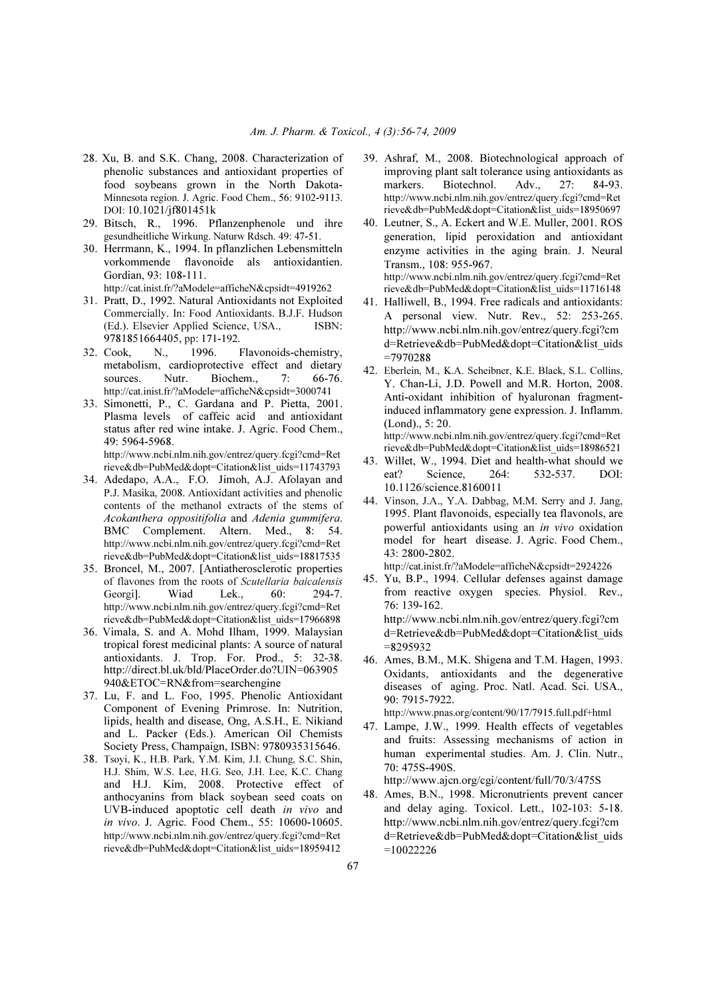- 28. Xu, B. and S.K. Chang, 2008. Characterization of phenolic substances and antioxidant properties of food soybeans grown in the North Dakota-Minnesota region. J. Agric. Food Chem., 56: 9102-9113. DOI: 10.1021/jf801451k
- 29. Bitsch, R., 1996. Pflanzenphenole und ihre gesundheitliche Wirkung. Naturw Rdsch. 49: 47-51.
- 30. Herrmann, K., 1994. In pflanzlichen Lebensmitteln vorkommende flavonoide als antioxidantien. Gordian, 93: 108-111.

http://cat.inist.fr/?aModele=afficheN&cpsidt=4919262

- 31. Pratt, D., 1992. Natural Antioxidants not Exploited Commercially. In: Food Antioxidants. B.J.F. Hudson (Ed.). Elsevier Applied Science, USA., ISBN: 9781851664405, pp: 171-192.
- 32. Cook, N., 1996. Flavonoids-chemistry, metabolism, cardioprotective effect and dietary sources. Nutr. Biochem.. 7: 66-76. http://cat.inist.fr/?aModele=afficheN&cpsidt=3000741
- 33. Simonetti, P., C. Gardana and P. Pietta, 2001. Plasma levels of caffeic acid and antioxidant status after red wine intake. J. Agric. Food Chem., 49: 5964-5968. http://www.ncbi.nlm.nih.gov/entrez/query.fcgi?cmd=Ret

rieve&db=PubMed&dopt=Citation&list\_uids=11743793

- 34. Adedapo, A.A., F.O. Jimoh, A.J. Afolayan and P.J. Masika, 2008. Antioxidant activities and phenolic contents of the methanol extracts of the stems of *Acokanthera oppositifolia* and *Adenia gummifera*. BMC Complement. Altern. Med., 8: 54. http://www.ncbi.nlm.nih.gov/entrez/query.fcgi?cmd=Ret rieve&db=PubMed&dopt=Citation&list\_uids=18817535
- 35. Broncel, M., 2007. [Antiatherosclerotic properties of flavones from the roots of Scutellaria baicalensis Georgi]. Wiad Lek., 60: 294-7. http://www.ncbi.nlm.nih.gov/entrez/query.fcgi?cmd=Ret rieve&db=PubMed&dopt=Citation&list\_uids=17966898
- 36. Vimala, S. and A. Mohd Ilham, 1999. Malaysian tropical forest medicinal plants: A source of natural antioxidants. J. Trop. For. Prod., 5: 32-38. http://direct.bl.uk/bld/PlaceOrder.do?UIN=063905 940&ETOC=RN&from=searchengine
- 37. Lu, F. and L. Foo, 1995. Phenolic Antioxidant Component of Evening Primrose. In: Nutrition, lipids, health and disease, Ong, A.S.H., E. Nikiand and L. Packer (Eds.). American Oil Chemists Society Press, Champaign, ISBN: 9780935315646.
- 38. Tsoyi, K., H.B. Park, Y.M. Kim, J.I. Chung, S.C. Shin, H.J. Shim, W.S. Lee, H.G. Seo, J.H. Lee, K.C. Chang and H.J. Kim, 2008. Protective effect of anthocyanins from black soybean seed coats on UVB-induced apoptotic cell death *in vivo* and *in vivo*. J. Agric. Food Chem., 55: 10600-10605. http://www.ncbi.nlm.nih.gov/entrez/query.fcgi?cmd=Ret rieve&db=PubMed&dopt=Citation&list\_uids=18959412
- 39. Ashraf, M., 2008. Biotechnological approach of improving plant salt tolerance using antioxidants as markers. Biotechnol. Adv., 27: 84-93. http://www.ncbi.nlm.nih.gov/entrez/query.fcgi?cmd=Ret rieve&db=PubMed&dopt=Citation&list\_uids=18950697
- 40. Leutner, S., A. Eckert and W.E. Muller, 2001. ROS generation, lipid peroxidation and antioxidant enzyme activities in the aging brain. J. Neural Transm., 108: 955-967. http://www.ncbi.nlm.nih.gov/entrez/query.fcgi?cmd=Ret rieve&db=PubMed&dopt=Citation&list\_uids=11716148
- 41. Halliwell, B., 1994. Free radicals and antioxidants: A personal view. Nutr. Rev., 52: 253-265. http://www.ncbi.nlm.nih.gov/entrez/query.fcgi?cm d=Retrieve&db=PubMed&dopt=Citation&list\_uids =7970288
- 42. Eberlein, M., K.A. Scheibner, K.E. Black, S.L. Collins, Y. Chan-Li, J.D. Powell and M.R. Horton, 2008. Anti-oxidant inhibition of hyaluronan fragmentinduced inflammatory gene expression. J. Inflamm. (Lond)., 5: 20. http://www.ncbi.nlm.nih.gov/entrez/query.fcgi?cmd=Ret
- rieve&db=PubMed&dopt=Citation&list\_uids=18986521 43. Willet, W., 1994. Diet and health-what should we eat? Science, 264: 532-537. DOI:
- 10.1126/science.8160011 44. Vinson, J.A., Y.A. Dabbag, M.M. Serry and J. Jang, 1995. Plant flavonoids, especially tea flavonols, are powerful antioxidants using an *in vivo* oxidation model for heart disease. J. Agric. Food Chem., 43: 2800-2802.

http://cat.inist.fr/?aModele=afficheN&cpsidt=2924226

45. Yu, B.P., 1994. Cellular defenses against damage from reactive oxygen species. Physiol. Rev., 76: 139-162. http://www.ncbi.nlm.nih.gov/entrez/query.fcgi?cm d=Retrieve&db=PubMed&dopt=Citation&list\_uids

=8295932 46. Ames, B.M., M.K. Shigena and T.M. Hagen, 1993.

Oxidants, antioxidants and the degenerative diseases of aging. Proc. Natl. Acad. Sci. USA., 90: 7915-7922. http://www.pnas.org/content/90/17/7915.full.pdf+html

47. Lampe, J.W., 1999. Health effects of vegetables and fruits: Assessing mechanisms of action in human experimental studies. Am. J. Clin. Nutr., 70: 475S-490S.

http://www.ajcn.org/cgi/content/full/70/3/475S

48. Ames, B.N., 1998. Micronutrients prevent cancer and delay aging. Toxicol. Lett., 102-103: 5-18. http://www.ncbi.nlm.nih.gov/entrez/query.fcgi?cm d=Retrieve&db=PubMed&dopt=Citation&list\_uids =10022226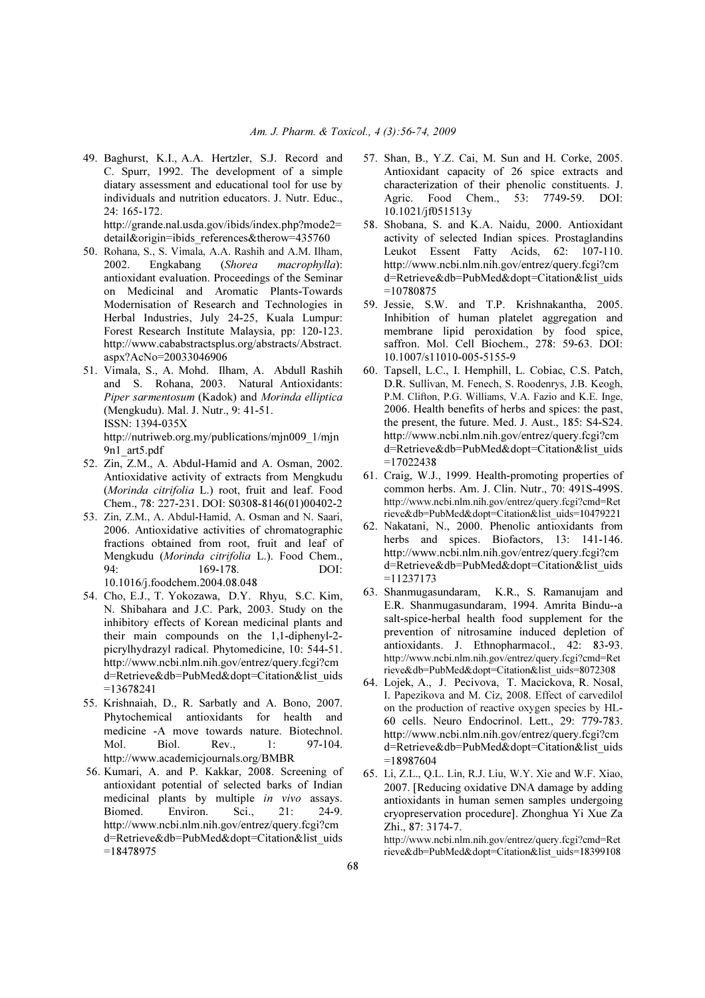49. Baghurst, K.I., A.A. Hertzler, S.J. Record and C. Spurr, 1992. The development of a simple diatary assessment and educational tool for use by individuals and nutrition educators. J. Nutr. Educ., 24: 165-172.

 http://grande.nal.usda.gov/ibids/index.php?mode2= detail&origin=ibids references&therow=435760

- 50. Rohana, S., S. Vimala, A.A. Rashih and A.M. Ilham, 2002. Engkabang (*Shorea macrophylla*): antioxidant evaluation. Proceedings of the Seminar on Medicinal and Aromatic Plants-Towards Modernisation of Research and Technologies in Herbal Industries, July 24-25, Kuala Lumpur: Forest Research Institute Malaysia, pp: 120-123. http://www.cababstractsplus.org/abstracts/Abstract. aspx?AcNo=20033046906
- 51. Vimala, S., A. Mohd. Ilham, A. Abdull Rashih and S. Rohana, 2003. Natural Antioxidants: *Piper sarmentosum* (Kadok) and *Morinda elliptica* (Mengkudu). Mal. J. Nutr., 9: 41-51. ISSN: 1394-035X http://nutriweb.org.my/publications/mjn009\_1/mjn

9n1\_art5.pdf 52. Zin, Z.M., A. Abdul-Hamid and A. Osman, 2002.

- Antioxidative activity of extracts from Mengkudu (*Morinda citrifolia* L.) root, fruit and leaf. Food Chem., 78: 227-231. DOI: S0308-8146(01)00402-2
- 53. Zin, Z.M., A. Abdul-Hamid, A. Osman and N. Saari, 2006. Antioxidative activities of chromatographic fractions obtained from root, fruit and leaf of Mengkudu (*Morinda citrifolia* L.). Food Chem., 94: 169-178. DOI: 10.1016/j.foodchem.2004.08.048
- 54. Cho, E.J., T. Yokozawa, D.Y. Rhyu, S.C. Kim, N. Shibahara and J.C. Park, 2003. Study on the inhibitory effects of Korean medicinal plants and their main compounds on the 1,1-diphenyl-2 picrylhydrazyl radical. Phytomedicine, 10: 544-51. http://www.ncbi.nlm.nih.gov/entrez/query.fcgi?cm d=Retrieve&db=PubMed&dopt=Citation&list\_uids =13678241
- 55. Krishnaiah, D., R. Sarbatly and A. Bono, 2007. Phytochemical antioxidants for health and medicine -A move towards nature. Biotechnol. Mol. Biol. Rev., 1: 97-104. http://www.academicjournals.org/BMBR
- 56. Kumari, A. and P. Kakkar, 2008. Screening of antioxidant potential of selected barks of Indian medicinal plants by multiple *in vivo* assays. Biomed. Environ. Sci., 21: 24-9. http://www.ncbi.nlm.nih.gov/entrez/query.fcgi?cm d=Retrieve&db=PubMed&dopt=Citation&list\_uids =18478975
- 57. Shan, B., Y.Z. Cai, M. Sun and H. Corke, 2005. Antioxidant capacity of 26 spice extracts and characterization of their phenolic constituents. J. Agric. Food Chem., 53: 7749-59. DOI: 10.1021/jf051513y
- 58. Shobana, S. and K.A. Naidu, 2000. Antioxidant activity of selected Indian spices. Prostaglandins Leukot Essent Fatty Acids, 62: 107-110. http://www.ncbi.nlm.nih.gov/entrez/query.fcgi?cm d=Retrieve&db=PubMed&dopt=Citation&list\_uids =10780875
- 59. Jessie, S.W. and T.P. Krishnakantha, 2005. Inhibition of human platelet aggregation and membrane lipid peroxidation by food spice, saffron. Mol. Cell Biochem., 278: 59-63. DOI: 10.1007/s11010-005-5155-9
- 60. Tapsell, L.C., I. Hemphill, L. Cobiac, C.S. Patch, D.R. Sullivan, M. Fenech, S. Roodenrys, J.B. Keogh, P.M. Clifton, P.G. Williams, V.A. Fazio and K.E. Inge, 2006. Health benefits of herbs and spices: the past, the present, the future. Med. J. Aust., 185: S4-S24. http://www.ncbi.nlm.nih.gov/entrez/query.fcgi?cm d=Retrieve&db=PubMed&dopt=Citation&list\_uids  $=17022438$
- 61. Craig, W.J., 1999. Health-promoting properties of common herbs. Am. J. Clin. Nutr., 70: 491S-499S. http://www.ncbi.nlm.nih.gov/entrez/query.fcgi?cmd=Ret rieve&db=PubMed&dopt=Citation&list\_uids=10479221
- 62. Nakatani, N., 2000. Phenolic antioxidants from herbs and spices. Biofactors, 13: 141-146. http://www.ncbi.nlm.nih.gov/entrez/query.fcgi?cm d=Retrieve&db=PubMed&dopt=Citation&list\_uids =11237173
- 63. Shanmugasundaram, K.R., S. Ramanujam and E.R. Shanmugasundaram, 1994. Amrita Bindu--a salt-spice-herbal health food supplement for the prevention of nitrosamine induced depletion of antioxidants. J. Ethnopharmacol., 42: 83-93. http://www.ncbi.nlm.nih.gov/entrez/query.fcgi?cmd=Ret rieve&db=PubMed&dopt=Citation&list\_uids=8072308
- 64. Lojek, A., J. Pecivova, T. Macickova, R. Nosal, I. Papezikova and M. Ciz, 2008. Effect of carvedilol on the production of reactive oxygen species by HL-60 cells. Neuro Endocrinol. Lett., 29: 779-783. http://www.ncbi.nlm.nih.gov/entrez/query.fcgi?cm d=Retrieve&db=PubMed&dopt=Citation&list\_uids =18987604
- 65. Li, Z.L., Q.L. Lin, R.J. Liu, W.Y. Xie and W.F. Xiao, 2007. [Reducing oxidative DNA damage by adding antioxidants in human semen samples undergoing cryopreservation procedure]. Zhonghua Yi Xue Za Zhi., 87: 3174-7. http://www.ncbi.nlm.nih.gov/entrez/query.fcgi?cmd=Ret

rieve&db=PubMed&dopt=Citation&list\_uids=18399108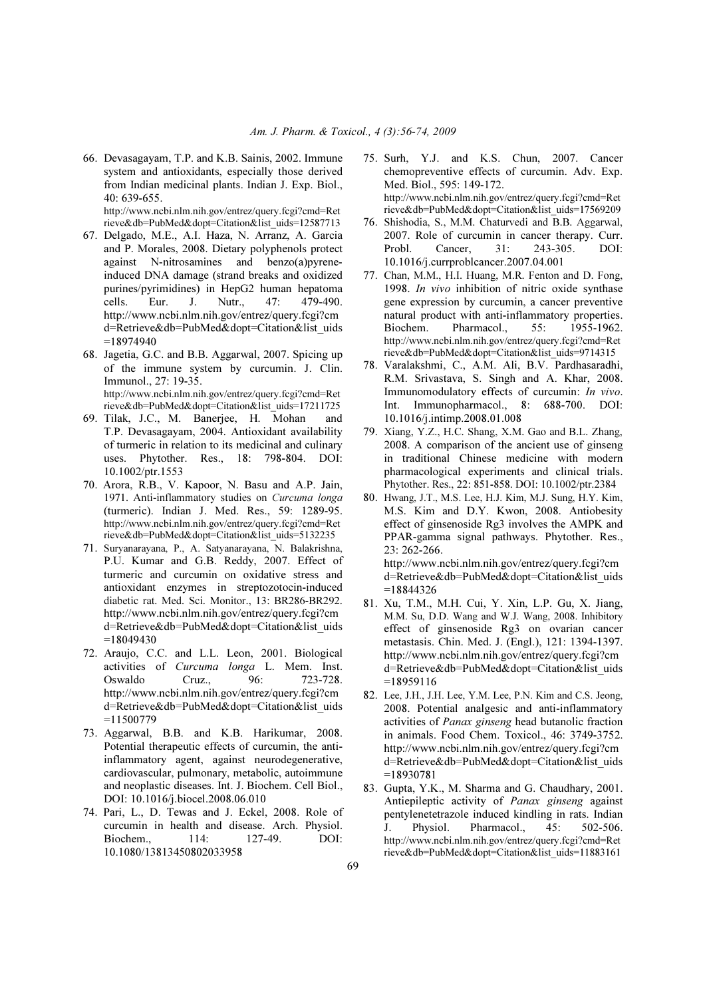66. Devasagayam, T.P. and K.B. Sainis, 2002. Immune system and antioxidants, especially those derived from Indian medicinal plants. Indian J. Exp. Biol.,  $40.639-655$ 

http://www.ncbi.nlm.nih.gov/entrez/query.fcgi?cmd=Ret rieve&db=PubMed&dopt=Citation&list\_uids=12587713

- 67. Delgado, M.E., A.I. Haza, N. Arranz, A. Garcia and P. Morales, 2008. Dietary polyphenols protect against N-nitrosamines and benzo(a)pyreneinduced DNA damage (strand breaks and oxidized purines/pyrimidines) in HepG2 human hepatoma cells. Eur. J. Nutr., 47: 479-490. http://www.ncbi.nlm.nih.gov/entrez/query.fcgi?cm d=Retrieve&db=PubMed&dopt=Citation&list\_uids =18974940
- 68. Jagetia, G.C. and B.B. Aggarwal, 2007. Spicing up of the immune system by curcumin. J. Clin. Immunol., 27: 19-35. http://www.ncbi.nlm.nih.gov/entrez/query.fcgi?cmd=Ret rieve&db=PubMed&dopt=Citation&list\_uids=17211725
- 69. Tilak, J.C., M. Banerjee, H. Mohan and T.P. Devasagayam, 2004. Antioxidant availability of turmeric in relation to its medicinal and culinary uses. Phytother. Res., 18: 798-804. DOI: 10.1002/ptr.1553
- 70. Arora, R.B., V. Kapoor, N. Basu and A.P. Jain, 1971. Anti-inflammatory studies on Curcuma longa (turmeric). Indian J. Med. Res., 59: 1289-95. http://www.ncbi.nlm.nih.gov/entrez/query.fcgi?cmd=Ret rieve&db=PubMed&dopt=Citation&list\_uids=5132235
- 71. Suryanarayana, P., A. Satyanarayana, N. Balakrishna, P.U. Kumar and G.B. Reddy, 2007. Effect of turmeric and curcumin on oxidative stress and antioxidant enzymes in streptozotocin-induced diabetic rat. Med. Sci. Monitor., 13: BR286-BR292. http://www.ncbi.nlm.nih.gov/entrez/query.fcgi?cm d=Retrieve&db=PubMed&dopt=Citation&list\_uids =18049430
- 72. Araujo, C.C. and L.L. Leon, 2001. Biological activities of *Curcuma longa* L. Mem. Inst. Oswaldo Cruz., 96: 723-728. http://www.ncbi.nlm.nih.gov/entrez/query.fcgi?cm d=Retrieve&db=PubMed&dopt=Citation&list\_uids  $=11500779$
- 73. Aggarwal, B.B. and K.B. Harikumar, 2008. Potential therapeutic effects of curcumin, the antiinflammatory agent, against neurodegenerative, cardiovascular, pulmonary, metabolic, autoimmune and neoplastic diseases. Int. J. Biochem. Cell Biol., DOI: 10.1016/j.biocel.2008.06.010
- 74. Pari, L., D. Tewas and J. Eckel, 2008. Role of curcumin in health and disease. Arch. Physiol. Biochem., 114: 127-49. DOI: 10.1080/13813450802033958
- 75. Surh, Y.J. and K.S. Chun, 2007. Cancer chemopreventive effects of curcumin. Adv. Exp. Med. Biol., 595: 149-172. http://www.ncbi.nlm.nih.gov/entrez/query.fcgi?cmd=Ret rieve&db=PubMed&dopt=Citation&list\_uids=17569209
- 76. Shishodia, S., M.M. Chaturvedi and B.B. Aggarwal, 2007. Role of curcumin in cancer therapy. Curr. Probl. Cancer, 31: 243-305. DOI: 10.1016/j.currproblcancer.2007.04.001
- 77. Chan, M.M., H.I. Huang, M.R. Fenton and D. Fong, 1998. *In vivo* inhibition of nitric oxide synthase gene expression by curcumin, a cancer preventive natural product with anti-inflammatory properties. Biochem. Pharmacol., 55: 1955-1962. http://www.ncbi.nlm.nih.gov/entrez/query.fcgi?cmd=Ret rieve&db=PubMed&dopt=Citation&list\_uids=9714315
- 78. Varalakshmi, C., A.M. Ali, B.V. Pardhasaradhi, R.M. Srivastava, S. Singh and A. Khar, 2008. Immunomodulatory effects of curcumin: *In vivo*. Int. Immunopharmacol., 8: 688-700. DOI: 10.1016/j.intimp.2008.01.008
- 79. Xiang, Y.Z., H.C. Shang, X.M. Gao and B.L. Zhang, 2008. A comparison of the ancient use of ginseng in traditional Chinese medicine with modern pharmacological experiments and clinical trials. Phytother. Res., 22: 851-858. DOI: 10.1002/ptr.2384
- 80. Hwang, J.T., M.S. Lee, H.J. Kim, M.J. Sung, H.Y. Kim, M.S. Kim and D.Y. Kwon, 2008. Antiobesity effect of ginsenoside Rg3 involves the AMPK and PPAR-gamma signal pathways. Phytother. Res., 23: 262-266. http://www.ncbi.nlm.nih.gov/entrez/query.fcgi?cm

d=Retrieve&db=PubMed&dopt=Citation&list\_uids =18844326

- 81. Xu, T.M., M.H. Cui, Y. Xin, L.P. Gu, X. Jiang, M.M. Su, D.D. Wang and W.J. Wang, 2008. Inhibitory effect of ginsenoside Rg3 on ovarian cancer metastasis. Chin. Med. J. (Engl.), 121: 1394-1397. http://www.ncbi.nlm.nih.gov/entrez/query.fcgi?cm d=Retrieve&db=PubMed&dopt=Citation&list\_uids =18959116
- 82. Lee, J.H., J.H. Lee, Y.M. Lee, P.N. Kim and C.S. Jeong, 2008. Potential analgesic and anti-inflammatory activities of *Panax ginseng* head butanolic fraction in animals. Food Chem. Toxicol., 46: 3749-3752. http://www.ncbi.nlm.nih.gov/entrez/query.fcgi?cm d=Retrieve&db=PubMed&dopt=Citation&list\_uids =18930781
- 83. Gupta, Y.K., M. Sharma and G. Chaudhary, 2001. Antiepileptic activity of *Panax ginseng* against pentylenetetrazole induced kindling in rats. Indian J. Physiol. Pharmacol., 45: 502-506. http://www.ncbi.nlm.nih.gov/entrez/query.fcgi?cmd=Ret rieve&db=PubMed&dopt=Citation&list\_uids=11883161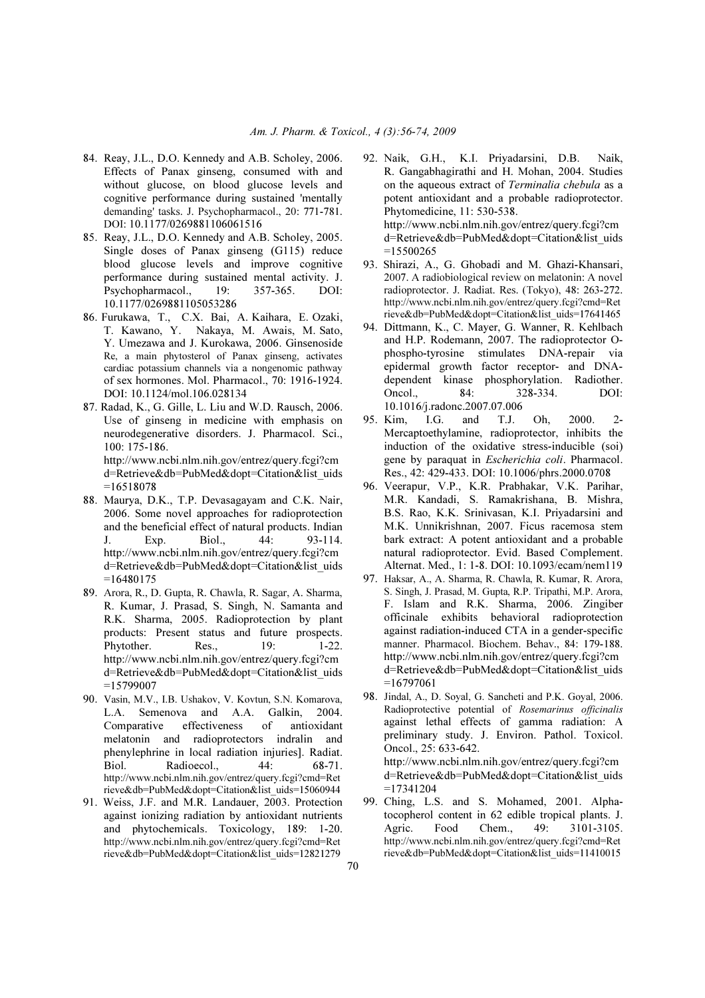- 84. Reay, J.L., D.O. Kennedy and A.B. Scholey, 2006. Effects of Panax ginseng, consumed with and without glucose, on blood glucose levels and cognitive performance during sustained 'mentally demanding' tasks. J. Psychopharmacol., 20: 771-781. DOI: 10.1177/0269881106061516
- 85. Reay, J.L., D.O. Kennedy and A.B. Scholey, 2005. Single doses of Panax ginseng (G115) reduce blood glucose levels and improve cognitive performance during sustained mental activity. J.<br>Psychopharmacol., 19: 357-365. DOI: Psychopharmacol., 10.1177/0269881105053286
- 86. Furukawa, T., C.X. Bai, A. Kaihara, E. Ozaki, T. Kawano, Y. Nakaya, M. Awais, M. Sato, Y. Umezawa and J. Kurokawa, 2006. Ginsenoside Re, a main phytosterol of Panax ginseng, activates cardiac potassium channels via a nongenomic pathway of sex hormones. Mol. Pharmacol., 70: 1916-1924. DOI: 10.1124/mol.106.028134
- 87. Radad, K., G. Gille, L. Liu and W.D. Rausch, 2006. Use of ginseng in medicine with emphasis on neurodegenerative disorders. J. Pharmacol. Sci., 100: 175-186. http://www.ncbi.nlm.nih.gov/entrez/query.fcgi?cm

d=Retrieve&db=PubMed&dopt=Citation&list\_uids  $=16518078$ 

- 88. Maurya, D.K., T.P. Devasagayam and C.K. Nair, 2006. Some novel approaches for radioprotection and the beneficial effect of natural products. Indian J. Exp. Biol., 44: 93-114. http://www.ncbi.nlm.nih.gov/entrez/query.fcgi?cm d=Retrieve&db=PubMed&dopt=Citation&list\_uids =16480175
- 89. Arora, R., D. Gupta, R. Chawla, R. Sagar, A. Sharma, R. Kumar, J. Prasad, S. Singh, N. Samanta and R.K. Sharma, 2005. Radioprotection by plant products: Present status and future prospects. Phytother. Res., 19: 1-22. http://www.ncbi.nlm.nih.gov/entrez/query.fcgi?cm d=Retrieve&db=PubMed&dopt=Citation&list\_uids =15799007
- 90. Vasin, M.V., I.B. Ushakov, V. Kovtun, S.N. Komarova, L.A. Semenova and A.A. Galkin, 2004. Comparative effectiveness of antioxidant melatonin and radioprotectors indralin and phenylephrine in local radiation injuries]. Radiat. Biol. Radioecol., 44: 68-71. http://www.ncbi.nlm.nih.gov/entrez/query.fcgi?cmd=Ret rieve&db=PubMed&dopt=Citation&list\_uids=15060944
- 91. Weiss, J.F. and M.R. Landauer, 2003. Protection against ionizing radiation by antioxidant nutrients and phytochemicals. Toxicology, 189: 1-20. http://www.ncbi.nlm.nih.gov/entrez/query.fcgi?cmd=Ret rieve&db=PubMed&dopt=Citation&list\_uids=12821279

92. Naik, G.H., K.I. Priyadarsini, D.B. Naik, R. Gangabhagirathi and H. Mohan, 2004. Studies on the aqueous extract of *Terminalia chebula* as a potent antioxidant and a probable radioprotector. Phytomedicine, 11: 530-538. http://www.ncbi.nlm.nih.gov/entrez/query.fcgi?cm

d=Retrieve&db=PubMed&dopt=Citation&list\_uids  $=15500265$ 

- 93. Shirazi, A., G. Ghobadi and M. Ghazi-Khansari, 2007. A radiobiological review on melatonin: A novel radioprotector. J. Radiat. Res. (Tokyo), 48: 263-272. http://www.ncbi.nlm.nih.gov/entrez/query.fcgi?cmd=Ret rieve&db=PubMed&dopt=Citation&list\_uids=17641465
- 94. Dittmann, K., C. Mayer, G. Wanner, R. Kehlbach and H.P. Rodemann, 2007. The radioprotector Ophospho-tyrosine stimulates DNA-repair via epidermal growth factor receptor- and DNAdependent kinase phosphorylation. Radiother. Oncol., 84: 328-334. DOI: 10.1016/j.radonc.2007.07.006
- 95. Kim, I.G. and T.J. Oh, 2000. 2- Mercaptoethylamine, radioprotector, inhibits the induction of the oxidative stress-inducible (soi) gene by paraquat in *Escherichia coli*. Pharmacol. Res., 42: 429-433. DOI: 10.1006/phrs.2000.0708
- 96. Veerapur, V.P., K.R. Prabhakar, V.K. Parihar, M.R. Kandadi, S. Ramakrishana, B. Mishra, B.S. Rao, K.K. Srinivasan, K.I. Priyadarsini and M.K. Unnikrishnan, 2007. Ficus racemosa stem bark extract: A potent antioxidant and a probable natural radioprotector. Evid. Based Complement. Alternat. Med., 1: 1-8. DOI: 10.1093/ecam/nem119
- 97. Haksar, A., A. Sharma, R. Chawla, R. Kumar, R. Arora, S. Singh, J. Prasad, M. Gupta, R.P. Tripathi, M.P. Arora, F. Islam and R.K. Sharma, 2006. Zingiber officinale exhibits behavioral radioprotection against radiation-induced CTA in a gender-specific manner. Pharmacol. Biochem. Behav., 84: 179-188. http://www.ncbi.nlm.nih.gov/entrez/query.fcgi?cm d=Retrieve&db=PubMed&dopt=Citation&list\_uids  $=16797061$
- 98. Jindal, A., D. Soyal, G. Sancheti and P.K. Goyal, 2006. Radioprotective potential of Rosemarinus officinalis against lethal effects of gamma radiation: A preliminary study. J. Environ. Pathol. Toxicol. Oncol., 25: 633-642. http://www.ncbi.nlm.nih.gov/entrez/query.fcgi?cm d=Retrieve&db=PubMed&dopt=Citation&list\_uids =17341204
- 99. Ching, L.S. and S. Mohamed, 2001. Alphatocopherol content in 62 edible tropical plants. J. Agric. Food Chem., 49: 3101-3105. http://www.ncbi.nlm.nih.gov/entrez/query.fcgi?cmd=Ret rieve&db=PubMed&dopt=Citation&list\_uids=11410015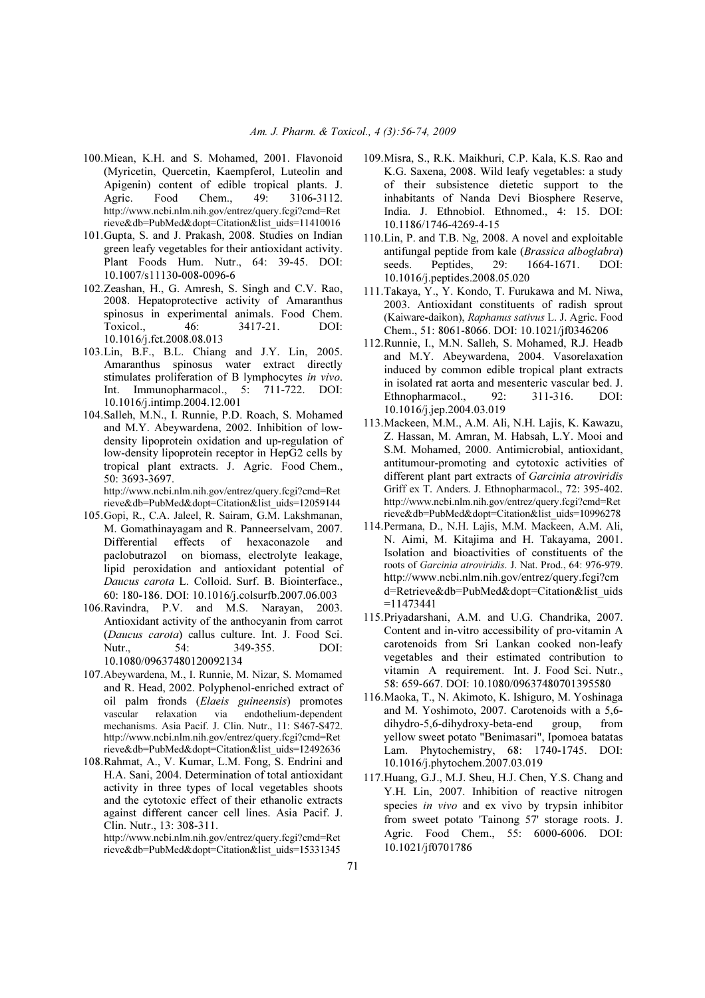- 100. Miean, K.H. and S. Mohamed, 2001. Flavonoid (Myricetin, Quercetin, Kaempferol, Luteolin and Apigenin) content of edible tropical plants. J. Agric. Food Chem., 49: 3106-3112. http://www.ncbi.nlm.nih.gov/entrez/query.fcgi?cmd=Ret rieve&db=PubMed&dopt=Citation&list\_uids=11410016
- 101. Gupta, S. and J. Prakash, 2008. Studies on Indian green leafy vegetables for their antioxidant activity. Plant Foods Hum. Nutr., 64: 39-45. DOI: 10.1007/s11130-008-0096-6
- 102. Zeashan, H., G. Amresh, S. Singh and C.V. Rao, 2008. Hepatoprotective activity of Amaranthus spinosus in experimental animals. Food Chem. Toxicol., 46: 3417-21. DOI: 10.1016/j.fct.2008.08.013
- 103. Lin, B.F., B.L. Chiang and J.Y. Lin, 2005. Amaranthus spinosus water extract directly stimulates proliferation of B lymphocytes *in vivo*. Int. Immunopharmacol., 5: 711-722. DOI: 10.1016/j.intimp.2004.12.001
- 104. Salleh, M.N., I. Runnie, P.D. Roach, S. Mohamed and M.Y. Abeywardena, 2002. Inhibition of lowdensity lipoprotein oxidation and up-regulation of low-density lipoprotein receptor in HepG2 cells by tropical plant extracts. J. Agric. Food Chem., 50: 3693-3697.

 http://www.ncbi.nlm.nih.gov/entrez/query.fcgi?cmd=Ret rieve&db=PubMed&dopt=Citation&list\_uids=12059144

- 105. Gopi, R., C.A. Jaleel, R. Sairam, G.M. Lakshmanan, M. Gomathinayagam and R. Panneerselvam, 2007. Differential effects of hexaconazole and paclobutrazol on biomass, electrolyte leakage, lipid peroxidation and antioxidant potential of *Daucus carota* L. Colloid. Surf. B. Biointerface., 60: 180-186. DOI: 10.1016/j.colsurfb.2007.06.003
- 106. Ravindra, P.V. and M.S. Narayan, 2003. Antioxidant activity of the anthocyanin from carrot (*Daucus carota*) callus culture. Int. J. Food Sci. Nutr., 54: 349-355. DOI: 10.1080/09637480120092134
- 107. Abeywardena, M., I. Runnie, M. Nizar, S. Momamed and R. Head, 2002. Polyphenol-enriched extract of oil palm fronds (*Elaeis guineensis*) promotes vascular relaxation via endothelium-dependent mechanisms. Asia Pacif. J. Clin. Nutr., 11: S467-S472. http://www.ncbi.nlm.nih.gov/entrez/query.fcgi?cmd=Ret rieve&db=PubMed&dopt=Citation&list\_uids=12492636
- 108. Rahmat, A., V. Kumar, L.M. Fong, S. Endrini and H.A. Sani, 2004. Determination of total antioxidant activity in three types of local vegetables shoots and the cytotoxic effect of their ethanolic extracts against different cancer cell lines. Asia Pacif. J. Clin. Nutr., 13: 308-311.

 http://www.ncbi.nlm.nih.gov/entrez/query.fcgi?cmd=Ret rieve&db=PubMed&dopt=Citation&list\_uids=15331345

- 109. Misra, S., R.K. Maikhuri, C.P. Kala, K.S. Rao and K.G. Saxena, 2008. Wild leafy vegetables: a study of their subsistence dietetic support to the inhabitants of Nanda Devi Biosphere Reserve, India. J. Ethnobiol. Ethnomed., 4: 15. DOI: 10.1186/1746-4269-4-15
- 110. Lin, P. and T.B. Ng, 2008. A novel and exploitable antifungal peptide from kale (*Brassica alboglabra*) seeds. Peptides, 29: 1664-1671. DOI: 10.1016/j.peptides.2008.05.020
- 111. Takaya, Y., Y. Kondo, T. Furukawa and M. Niwa, 2003. Antioxidant constituents of radish sprout (Kaiware-daikon), Raphanus sativus L. J. Agric. Food Chem., 51: 8061-8066. DOI: 10.1021/jf0346206
- 112. Runnie, I., M.N. Salleh, S. Mohamed, R.J. Headb and M.Y. Abeywardena, 2004. Vasorelaxation induced by common edible tropical plant extracts in isolated rat aorta and mesenteric vascular bed. J. Ethnopharmacol., 92: 311-316. DOI: 10.1016/j.jep.2004.03.019
- 113. Mackeen, M.M., A.M. Ali, N.H. Lajis, K. Kawazu, Z. Hassan, M. Amran, M. Habsah, L.Y. Mooi and S.M. Mohamed, 2000. Antimicrobial, antioxidant, antitumour-promoting and cytotoxic activities of different plant part extracts of *Garcinia atroviridis*  Griff ex T. Anders. J. Ethnopharmacol., 72: 395-402. http://www.ncbi.nlm.nih.gov/entrez/query.fcgi?cmd=Ret rieve&db=PubMed&dopt=Citation&list\_uids=10996278
- 114. Permana, D., N.H. Lajis, M.M. Mackeen, A.M. Ali, N. Aimi, M. Kitajima and H. Takayama, 2001. Isolation and bioactivities of constituents of the roots of Garcinia atroviridis. J. Nat. Prod., 64: 976-979. http://www.ncbi.nlm.nih.gov/entrez/query.fcgi?cm d=Retrieve&db=PubMed&dopt=Citation&list\_uids  $=11473441$
- 115. Priyadarshani, A.M. and U.G. Chandrika, 2007. Content and in-vitro accessibility of pro-vitamin A carotenoids from Sri Lankan cooked non-leafy vegetables and their estimated contribution to vitamin A requirement. Int. J. Food Sci. Nutr., 58: 659-667. DOI: 10.1080/09637480701395580
- 116. Maoka, T., N. Akimoto, K. Ishiguro, M. Yoshinaga and M. Yoshimoto, 2007. Carotenoids with a 5,6 dihydro-5,6-dihydroxy-beta-end group, from yellow sweet potato "Benimasari", Ipomoea batatas Lam. Phytochemistry, 68: 1740-1745. DOI: 10.1016/j.phytochem.2007.03.019
- 117. Huang, G.J., M.J. Sheu, H.J. Chen, Y.S. Chang and Y.H. Lin, 2007. Inhibition of reactive nitrogen species *in vivo* and ex vivo by trypsin inhibitor from sweet potato 'Tainong 57' storage roots. J. Agric. Food Chem., 55: 6000-6006. DOI: 10.1021/jf0701786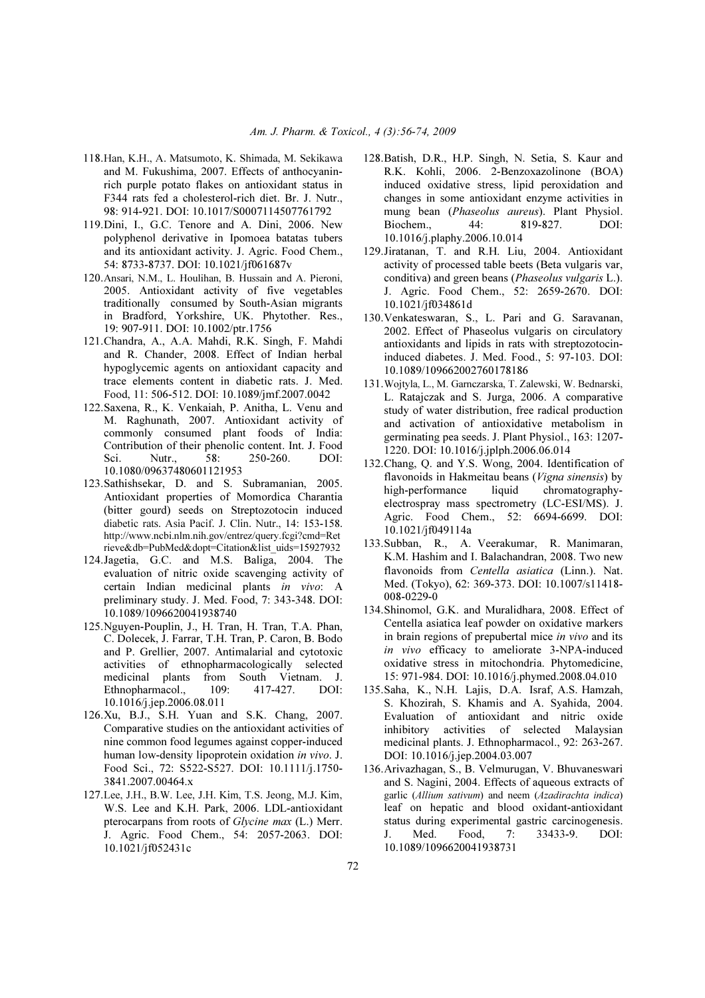- 118. Han, K.H., A. Matsumoto, K. Shimada, M. Sekikawa and M. Fukushima, 2007. Effects of anthocyaninrich purple potato flakes on antioxidant status in F344 rats fed a cholesterol-rich diet. Br. J. Nutr., 98: 914-921. DOI: 10.1017/S0007114507761792
- 119. Dini, I., G.C. Tenore and A. Dini, 2006. New polyphenol derivative in Ipomoea batatas tubers and its antioxidant activity. J. Agric. Food Chem., 54: 8733-8737. DOI: 10.1021/jf061687v
- 120. Ansari, N.M., L. Houlihan, B. Hussain and A. Pieroni, 2005. Antioxidant activity of five vegetables traditionally consumed by South-Asian migrants in Bradford, Yorkshire, UK. Phytother. Res., 19: 907-911. DOI: 10.1002/ptr.1756
- 121. Chandra, A., A.A. Mahdi, R.K. Singh, F. Mahdi and R. Chander, 2008. Effect of Indian herbal hypoglycemic agents on antioxidant capacity and trace elements content in diabetic rats. J. Med. Food, 11: 506-512. DOI: 10.1089/jmf.2007.0042
- 122. Saxena, R., K. Venkaiah, P. Anitha, L. Venu and M. Raghunath, 2007. Antioxidant activity of commonly consumed plant foods of India: Contribution of their phenolic content. Int. J. Food Sci. Nutr., 58: 250-260. DOI: 10.1080/09637480601121953
- 123. Sathishsekar, D. and S. Subramanian, 2005. Antioxidant properties of Momordica Charantia (bitter gourd) seeds on Streptozotocin induced diabetic rats. Asia Pacif. J. Clin. Nutr., 14: 153-158. http://www.ncbi.nlm.nih.gov/entrez/query.fcgi?cmd=Ret rieve&db=PubMed&dopt=Citation&list\_uids=15927932
- 124. Jagetia, G.C. and M.S. Baliga, 2004. The evaluation of nitric oxide scavenging activity of certain Indian medicinal plants *in vivo*: A preliminary study. J. Med. Food, 7: 343-348. DOI: 10.1089/1096620041938740
- 125. Nguyen-Pouplin, J., H. Tran, H. Tran, T.A. Phan, C. Dolecek, J. Farrar, T.H. Tran, P. Caron, B. Bodo and P. Grellier, 2007. Antimalarial and cytotoxic activities of ethnopharmacologically selected medicinal plants from South Vietnam. J. Ethnopharmacol., 109: 417-427. DOI: 10.1016/j.jep.2006.08.011
- 126. Xu, B.J., S.H. Yuan and S.K. Chang, 2007. Comparative studies on the antioxidant activities of nine common food legumes against copper-induced human low-density lipoprotein oxidation *in vivo*. J. Food Sci., 72: S522-S527. DOI: 10.1111/j.1750- 3841.2007.00464.x
- 127. Lee, J.H., B.W. Lee, J.H. Kim, T.S. Jeong, M.J. Kim, W.S. Lee and K.H. Park, 2006. LDL-antioxidant pterocarpans from roots of *Glycine max* (L.) Merr. J. Agric. Food Chem., 54: 2057-2063. DOI: 10.1021/jf052431c
- 128. Batish, D.R., H.P. Singh, N. Setia, S. Kaur and R.K. Kohli, 2006. 2-Benzoxazolinone (BOA) induced oxidative stress, lipid peroxidation and changes in some antioxidant enzyme activities in mung bean (*Phaseolus aureus*). Plant Physiol. Biochem., 44: 819-827. DOI: 10.1016/j.plaphy.2006.10.014
- 129. Jiratanan, T. and R.H. Liu, 2004. Antioxidant activity of processed table beets (Beta vulgaris var, conditiva) and green beans (*Phaseolus vulgaris* L.). J. Agric. Food Chem., 52: 2659-2670. DOI: 10.1021/jf034861d
- 130. Venkateswaran, S., L. Pari and G. Saravanan, 2002. Effect of Phaseolus vulgaris on circulatory antioxidants and lipids in rats with streptozotocininduced diabetes. J. Med. Food., 5: 97-103. DOI: 10.1089/109662002760178186
- 131. Wojtyla, L., M. Garnczarska, T. Zalewski, W. Bednarski, L. Ratajczak and S. Jurga, 2006. A comparative study of water distribution, free radical production and activation of antioxidative metabolism in germinating pea seeds. J. Plant Physiol., 163: 1207- 1220. DOI: 10.1016/j.jplph.2006.06.014
- 132. Chang, Q. and Y.S. Wong, 2004. Identification of flavonoids in Hakmeitau beans (*Vigna sinensis*) by high-performance liquid chromatographyelectrospray mass spectrometry (LC-ESI/MS). J. Agric. Food Chem., 52: 6694-6699. DOI: 10.1021/jf049114a
- 133. Subban, R., A. Veerakumar, R. Manimaran, K.M. Hashim and I. Balachandran, 2008. Two new flavonoids from *Centella asiatica* (Linn.). Nat. Med. (Tokyo), 62: 369-373. DOI: 10.1007/s11418- 008-0229-0
- 134. Shinomol, G.K. and Muralidhara, 2008. Effect of Centella asiatica leaf powder on oxidative markers in brain regions of prepubertal mice *in vivo* and its *in vivo* efficacy to ameliorate 3-NPA-induced oxidative stress in mitochondria. Phytomedicine, 15: 971-984. DOI: 10.1016/j.phymed.2008.04.010
- 135. Saha, K., N.H. Lajis, D.A. Israf, A.S. Hamzah, S. Khozirah, S. Khamis and A. Syahida, 2004. Evaluation of antioxidant and nitric oxide inhibitory activities of selected Malaysian medicinal plants. J. Ethnopharmacol., 92: 263-267. DOI: 10.1016/j.jep.2004.03.007
- 136. Arivazhagan, S., B. Velmurugan, V. Bhuvaneswari and S. Nagini, 2004. Effects of aqueous extracts of garlic (Allium sativum) and neem (Azadirachta indica) leaf on hepatic and blood oxidant-antioxidant status during experimental gastric carcinogenesis. J. Med. Food, 7: 33433-9. DOI: 10.1089/1096620041938731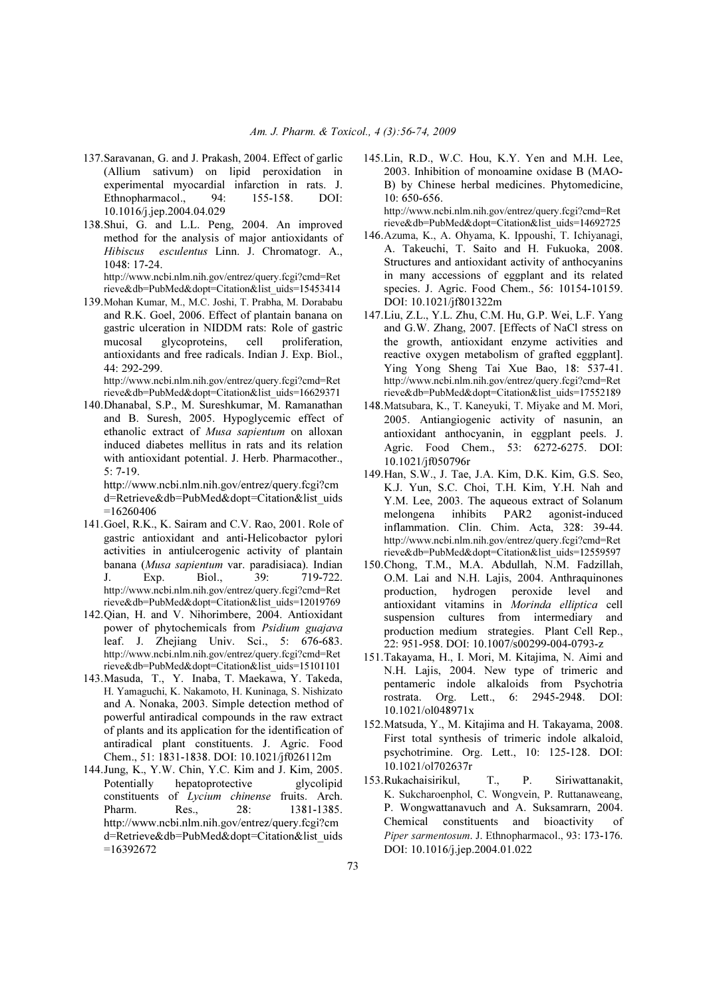- 137. Saravanan, G. and J. Prakash, 2004. Effect of garlic (Allium sativum) on lipid peroxidation in experimental myocardial infarction in rats. J. Ethnopharmacol., 94: 155-158. DOI: 10.1016/j.jep.2004.04.029
- 138. Shui, G. and L.L. Peng, 2004. An improved method for the analysis of major antioxidants of *Hibiscus esculentus* Linn. J. Chromatogr. A., 1048: 17-24. http://www.ncbi.nlm.nih.gov/entrez/query.fcgi?cmd=Ret

rieve&db=PubMed&dopt=Citation&list\_uids=15453414

139. Mohan Kumar, M., M.C. Joshi, T. Prabha, M. Dorababu and R.K. Goel, 2006. Effect of plantain banana on gastric ulceration in NIDDM rats: Role of gastric mucosal glycoproteins, cell proliferation, antioxidants and free radicals. Indian J. Exp. Biol., 44: 292-299.

http://www.ncbi.nlm.nih.gov/entrez/query.fcgi?cmd=Ret rieve&db=PubMed&dopt=Citation&list\_uids=16629371

140. Dhanabal, S.P., M. Sureshkumar, M. Ramanathan and B. Suresh, 2005. Hypoglycemic effect of ethanolic extract of *Musa sapientum* on alloxan induced diabetes mellitus in rats and its relation with antioxidant potential. J. Herb. Pharmacother., 5: 7-19.

 http://www.ncbi.nlm.nih.gov/entrez/query.fcgi?cm d=Retrieve&db=PubMed&dopt=Citation&list\_uids =16260406

- 141. Goel, R.K., K. Sairam and C.V. Rao, 2001. Role of gastric antioxidant and anti-Helicobactor pylori activities in antiulcerogenic activity of plantain banana (*Musa sapientum* var. paradisiaca). Indian J. Exp. Biol., 39: 719-722. http://www.ncbi.nlm.nih.gov/entrez/query.fcgi?cmd=Ret rieve&db=PubMed&dopt=Citation&list\_uids=12019769
- 142. Qian, H. and V. Nihorimbere, 2004. Antioxidant power of phytochemicals from *Psidium guajava*  leaf. J. Zhejiang Univ. Sci., 5: 676-683. http://www.ncbi.nlm.nih.gov/entrez/query.fcgi?cmd=Ret rieve&db=PubMed&dopt=Citation&list\_uids=15101101
- 143. Masuda, T., Y. Inaba, T. Maekawa, Y. Takeda, H. Yamaguchi, K. Nakamoto, H. Kuninaga, S. Nishizato and A. Nonaka, 2003. Simple detection method of powerful antiradical compounds in the raw extract of plants and its application for the identification of antiradical plant constituents. J. Agric. Food Chem., 51: 1831-1838. DOI: 10.1021/jf026112m
- 144. Jung, K., Y.W. Chin, Y.C. Kim and J. Kim, 2005. Potentially hepatoprotective glycolipid constituents of *Lycium chinense* fruits. Arch. Pharm. Res., 28: 1381-1385. http://www.ncbi.nlm.nih.gov/entrez/query.fcgi?cm d=Retrieve&db=PubMed&dopt=Citation&list\_uids  $=16392672$

145. Lin, R.D., W.C. Hou, K.Y. Yen and M.H. Lee, 2003. Inhibition of monoamine oxidase B (MAO-B) by Chinese herbal medicines. Phytomedicine, 10: 650-656.

http://www.ncbi.nlm.nih.gov/entrez/query.fcgi?cmd=Ret rieve&db=PubMed&dopt=Citation&list\_uids=14692725

- 146. Azuma, K., A. Ohyama, K. Ippoushi, T. Ichiyanagi, A. Takeuchi, T. Saito and H. Fukuoka, 2008. Structures and antioxidant activity of anthocyanins in many accessions of eggplant and its related species. J. Agric. Food Chem., 56: 10154-10159. DOI: 10.1021/jf801322m
- 147. Liu, Z.L., Y.L. Zhu, C.M. Hu, G.P. Wei, L.F. Yang and G.W. Zhang, 2007. [Effects of NaCl stress on the growth, antioxidant enzyme activities and reactive oxygen metabolism of grafted eggplant]. Ying Yong Sheng Tai Xue Bao, 18: 537-41. http://www.ncbi.nlm.nih.gov/entrez/query.fcgi?cmd=Ret rieve&db=PubMed&dopt=Citation&list\_uids=17552189
- 148. Matsubara, K., T. Kaneyuki, T. Miyake and M. Mori, 2005. Antiangiogenic activity of nasunin, an antioxidant anthocyanin, in eggplant peels. J. Agric. Food Chem., 53: 6272-6275. DOI: 10.1021/jf050796r
- 149. Han, S.W., J. Tae, J.A. Kim, D.K. Kim, G.S. Seo, K.J. Yun, S.C. Choi, T.H. Kim, Y.H. Nah and Y.M. Lee, 2003. The aqueous extract of Solanum melongena inhibits PAR2 agonist-induced inflammation. Clin. Chim. Acta, 328: 39-44. http://www.ncbi.nlm.nih.gov/entrez/query.fcgi?cmd=Ret rieve&db=PubMed&dopt=Citation&list\_uids=12559597
- 150. Chong, T.M., M.A. Abdullah, N.M. Fadzillah, O.M. Lai and N.H. Lajis, 2004. Anthraquinones production, hydrogen peroxide level and antioxidant vitamins in *Morinda elliptica* cell suspension cultures from intermediary and production medium strategies. Plant Cell Rep., 22: 951-958. DOI: 10.1007/s00299-004-0793-z
- 151. Takayama, H., I. Mori, M. Kitajima, N. Aimi and N.H. Lajis, 2004. New type of trimeric and pentameric indole alkaloids from Psychotria rostrata. Org. Lett., 6: 2945-2948. DOI: 10.1021/ol048971x
- 152. Matsuda, Y., M. Kitajima and H. Takayama, 2008. First total synthesis of trimeric indole alkaloid, psychotrimine. Org. Lett., 10: 125-128. DOI: 10.1021/ol702637r
- 153. Rukachaisirikul, T., P. Siriwattanakit, K. Sukcharoenphol, C. Wongvein, P. Ruttanaweang, P. Wongwattanavuch and A. Suksamrarn, 2004. Chemical constituents and bioactivity of Piper sarmentosum. J. Ethnopharmacol., 93: 173-176. DOI: 10.1016/j.jep.2004.01.022